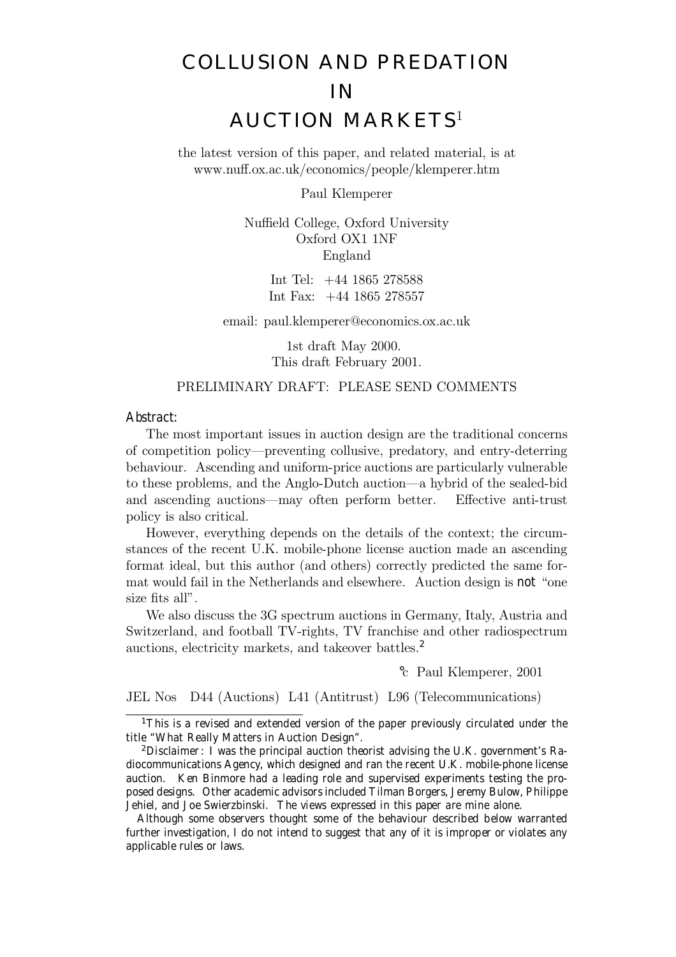# COLLUSION AND PREDATION IN AUCTION MARKETS<sup>1</sup>

the latest version of this paper, and related material, is at www.nuff.ox.ac.uk/economics/people/klemperer.htm

Paul Klemperer

Nuffield College, Oxford University Oxford OX1 1NF England

> Int Tel: +44 1865 278588 Int Fax: +44 1865 278557

email: paul.klemperer@economics.ox.ac.uk

1st draft May 2000. This draft February 2001.

# PRELIMINARY DRAFT: PLEASE SEND COMMENTS

Abstract:

The most important issues in auction design are the traditional concerns of competition policy—preventing collusive, predatory, and entry-deterring behaviour. Ascending and uniform-price auctions are particularly vulnerable to these problems, and the Anglo-Dutch auction—a hybrid of the sealed-bid and ascending auctions—may often perform better. Effective anti-trust policy is also critical.

However, everything depends on the details of the context; the circumstances of the recent U.K. mobile-phone license auction made an ascending format ideal, but this author (and others) correctly predicted the same format would fail in the Netherlands and elsewhere. Auction design is not "one size fits all".

We also discuss the 3G spectrum auctions in Germany, Italy, Austria and Switzerland, and football TV-rights, TV franchise and other radiospectrum auctions, electricity markets, and takeover battles.<sup>2</sup>

°c Paul Klemperer, 2001

JEL Nos D44 (Auctions) L41 (Antitrust) L96 (Telecommunications)

 $1$ This is a revised and extended version of the paper previously circulated under the title "What Really Matters in Auction Design".

Although some observers thought some of the behaviour described below warranted further investigation, I do not intend to suggest that any of it is improper or violates any applicable rules or laws.

<sup>&</sup>lt;sup>2</sup>Disclaimer: I was the principal auction theorist advising the U.K. government's Radiocommunications Agency, which designed and ran the recent U.K. mobile-phone license auction. Ken Binmore had a leading role and supervised experiments testing the proposed designs. Other academic advisors included Tilman Borgers, Jeremy Bulow, Philippe Jehiel, and Joe Swierzbinski. The views expressed in this paper are mine alone.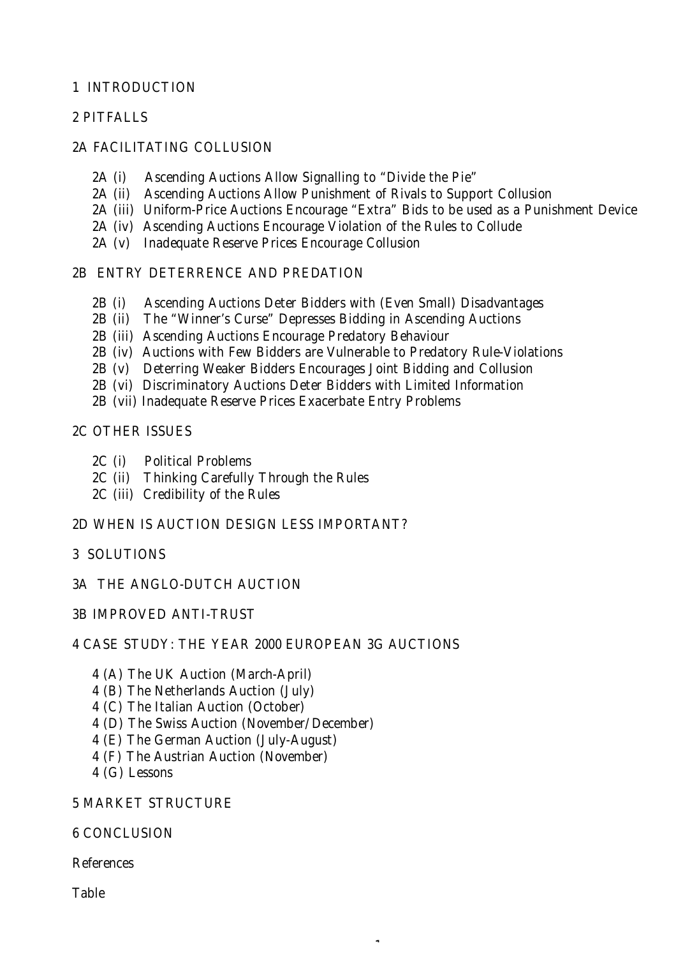# 1 INTRODUCTION

# 2 PITFALLS

# 2A FACILITATING COLLUSION

- 2A (i) Ascending Auctions Allow Signalling to "Divide the Pie"
- 2A (ii) Ascending Auctions Allow Punishment of Rivals to Support Collusion
- 2A (iii) Uniform-Price Auctions Encourage "Extra" Bids to be used as a Punishment Device

 $\ddot{\phantom{1}}$ 

- 2A (iv) Ascending Auctions Encourage Violation of the Rules to Collude
- 2A (v) Inadequate Reserve Prices Encourage Collusion

# 2B ENTRY DETERRENCE AND PREDATION

- 2B (i) Ascending Auctions Deter Bidders with (Even Small) Disadvantages
- 2B (ii) The "Winner's Curse" Depresses Bidding in Ascending Auctions
- 2B (iii) Ascending Auctions Encourage Predatory Behaviour
- 2B (iv) Auctions with Few Bidders are Vulnerable to Predatory Rule-Violations
- 2B (v) Deterring Weaker Bidders Encourages Joint Bidding and Collusion
- 2B (vi) Discriminatory Auctions Deter Bidders with Limited Information
- 2B (vii) Inadequate Reserve Prices Exacerbate Entry Problems

# 2C OTHER ISSUES

- 2C (i) Political Problems
- 2C (ii) Thinking Carefully Through the Rules
- 2C (iii) Credibility of the Rules
- 2D WHEN IS AUCTION DESIGN LESS IMPORTANT?

# 3 SOLUTIONS

- 3A THE ANGLO-DUTCH AUCTION
- 3B IMPROVED ANTI-TRUST

# 4 CASE STUDY: THE YEAR 2000 EUROPEAN 3G AUCTIONS

- 4 (A) The UK Auction (March-April)
- 4 (B) The Netherlands Auction (July)
- 4 (C) The Italian Auction (October)
- 4 (D) The Swiss Auction (November/December)
- 4 (E) The German Auction (July-August)
- 4 (F) The Austrian Auction (November)
- 4 (G) Lessons

# 5 MARKET STRUCTURE

# 6 CONCLUSION

References

Table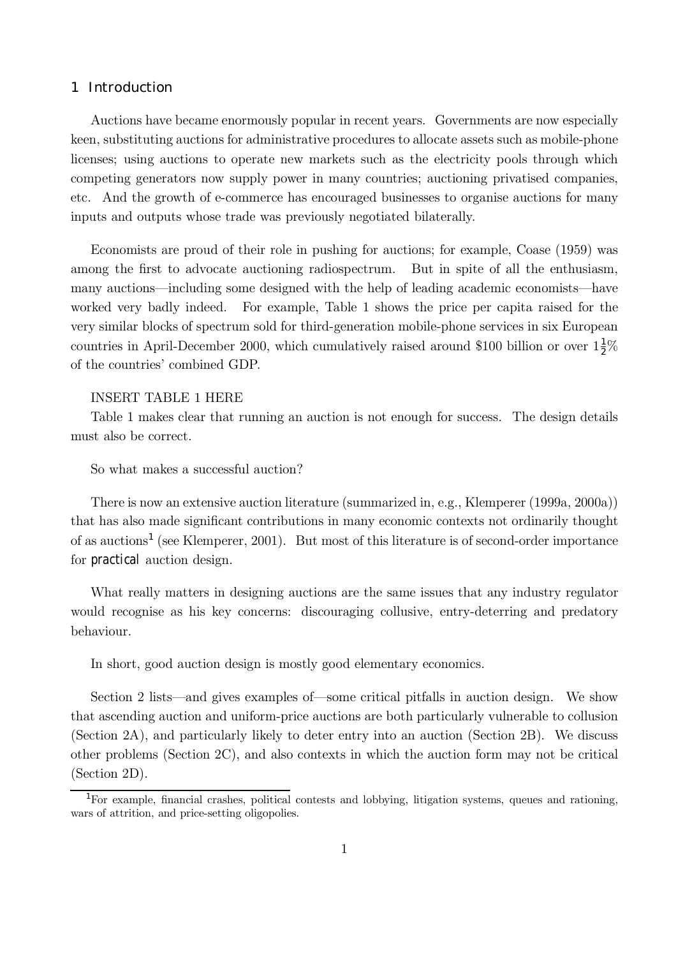# 1 Introduction

Auctions have became enormously popular in recent years. Governments are now especially keen, substituting auctions for administrative procedures to allocate assets such as mobile-phone licenses; using auctions to operate new markets such as the electricity pools through which competing generators now supply power in many countries; auctioning privatised companies, etc. And the growth of e-commerce has encouraged businesses to organise auctions for many inputs and outputs whose trade was previously negotiated bilaterally.

Economists are proud of their role in pushing for auctions; for example, Coase (1959) was among the first to advocate auctioning radiospectrum. But in spite of all the enthusiasm, many auctions—including some designed with the help of leading academic economists—have worked very badly indeed. For example, Table 1 shows the price per capita raised for the very similar blocks of spectrum sold for third-generation mobile-phone services in six European countries in April-December 2000, which cumulatively raised around \$100 billion or over  $1\frac{1}{2}\%$ of the countries' combined GDP.

# INSERT TABLE 1 HERE

Table 1 makes clear that running an auction is not enough for success. The design details must also be correct.

So what makes a successful auction?

There is now an extensive auction literature (summarized in, e.g., Klemperer (1999a, 2000a)) that has also made significant contributions in many economic contexts not ordinarily thought of as auctions<sup>1</sup> (see Klemperer, 2001). But most of this literature is of second-order importance for practical auction design.

What really matters in designing auctions are the same issues that any industry regulator would recognise as his key concerns: discouraging collusive, entry-deterring and predatory behaviour.

In short, good auction design is mostly good elementary economics.

Section 2 lists—and gives examples of—some critical pitfalls in auction design. We show that ascending auction and uniform-price auctions are both particularly vulnerable to collusion (Section 2A), and particularly likely to deter entry into an auction (Section 2B). We discuss other problems (Section 2C), and also contexts in which the auction form may not be critical (Section 2D).

<sup>1</sup>For example, financial crashes, political contests and lobbying, litigation systems, queues and rationing, wars of attrition, and price-setting oligopolies.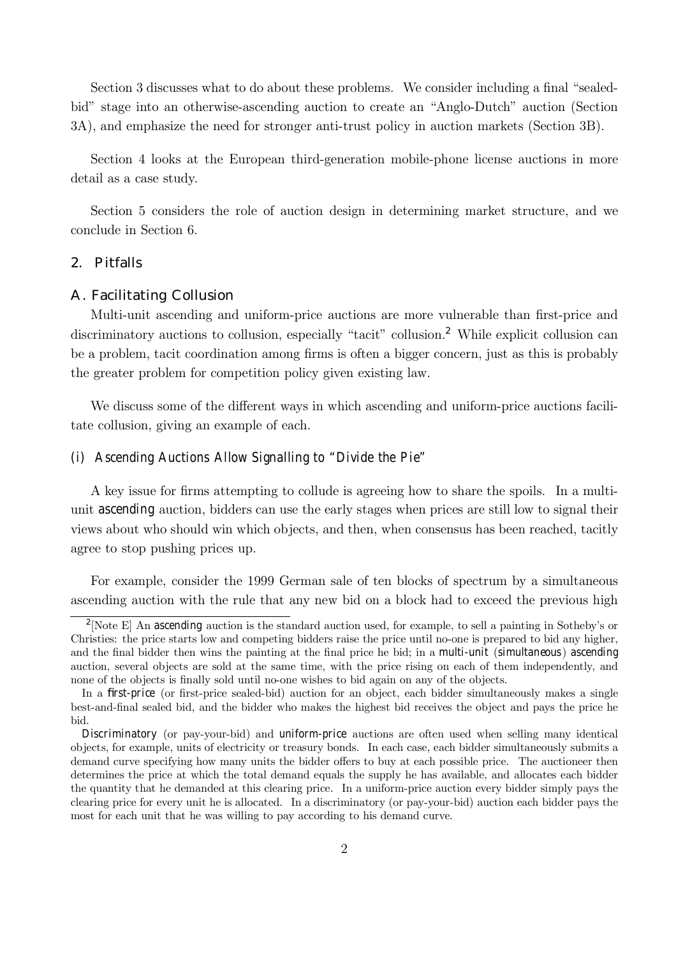Section 3 discusses what to do about these problems. We consider including a final "sealedbid" stage into an otherwise-ascending auction to create an "Anglo-Dutch" auction (Section 3A), and emphasize the need for stronger anti-trust policy in auction markets (Section 3B).

Section 4 looks at the European third-generation mobile-phone license auctions in more detail as a case study.

Section 5 considers the role of auction design in determining market structure, and we conclude in Section 6.

## 2. Pitfalls

# A. Facilitating Collusion

Multi-unit ascending and uniform-price auctions are more vulnerable than first-price and discriminatory auctions to collusion, especially "tacit" collusion.<sup>2</sup> While explicit collusion can be a problem, tacit coordination among firms is often a bigger concern, just as this is probably the greater problem for competition policy given existing law.

We discuss some of the different ways in which ascending and uniform-price auctions facilitate collusion, giving an example of each.

# (i) Ascending Auctions Allow Signalling to "Divide the Pie"

A key issue for firms attempting to collude is agreeing how to share the spoils. In a multiunit ascending auction, bidders can use the early stages when prices are still low to signal their views about who should win which objects, and then, when consensus has been reached, tacitly agree to stop pushing prices up.

For example, consider the 1999 German sale of ten blocks of spectrum by a simultaneous ascending auction with the rule that any new bid on a block had to exceed the previous high

<sup>&</sup>lt;sup>2</sup>[Note E] An ascending auction is the standard auction used, for example, to sell a painting in Sotheby's or Christies: the price starts low and competing bidders raise the price until no-one is prepared to bid any higher, and the final bidder then wins the painting at the final price he bid; in a multi-unit (simultaneous) ascending auction, several objects are sold at the same time, with the price rising on each of them independently, and none of the objects is finally sold until no-one wishes to bid again on any of the objects.

In a first-price (or first-price sealed-bid) auction for an object, each bidder simultaneously makes a single best-and-final sealed bid, and the bidder who makes the highest bid receives the object and pays the price he bid.

Discriminatory (or pay-your-bid) and uniform-price auctions are often used when selling many identical objects, for example, units of electricity or treasury bonds. In each case, each bidder simultaneously submits a demand curve specifying how many units the bidder offers to buy at each possible price. The auctioneer then determines the price at which the total demand equals the supply he has available, and allocates each bidder the quantity that he demanded at this clearing price. In a uniform-price auction every bidder simply pays the clearing price for every unit he is allocated. In a discriminatory (or pay-your-bid) auction each bidder pays the most for each unit that he was willing to pay according to his demand curve.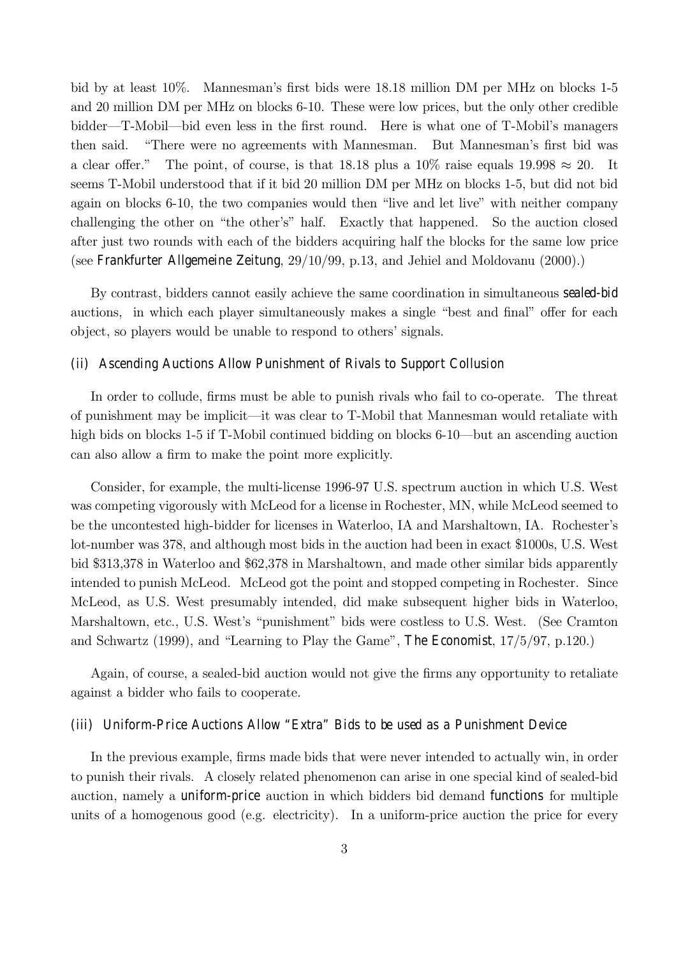bid by at least 10%. Mannesman's first bids were 18.18 million DM per MHz on blocks 1-5 and 20 million DM per MHz on blocks 6-10. These were low prices, but the only other credible bidder—T-Mobil—bid even less in the first round. Here is what one of T-Mobil's managers then said. "There were no agreements with Mannesman. But Mannesman's first bid was a clear offer." The point, of course, is that 18.18 plus a 10% raise equals 19.998  $\approx$  20. It seems T-Mobil understood that if it bid 20 million DM per MHz on blocks 1-5, but did not bid again on blocks 6-10, the two companies would then "live and let live" with neither company challenging the other on "the other's" half. Exactly that happened. So the auction closed after just two rounds with each of the bidders acquiring half the blocks for the same low price (see Frankfurter Allgemeine Zeitung, 29/10/99, p.13, and Jehiel and Moldovanu (2000).)

By contrast, bidders cannot easily achieve the same coordination in simultaneous sealed-bid auctions, in which each player simultaneously makes a single "best and final" offer for each object, so players would be unable to respond to others' signals.

## (ii) Ascending Auctions Allow Punishment of Rivals to Support Collusion

In order to collude, firms must be able to punish rivals who fail to co-operate. The threat of punishment may be implicit—it was clear to T-Mobil that Mannesman would retaliate with high bids on blocks 1-5 if T-Mobil continued bidding on blocks 6-10—but an ascending auction can also allow a firm to make the point more explicitly.

Consider, for example, the multi-license 1996-97 U.S. spectrum auction in which U.S. West was competing vigorously with McLeod for a license in Rochester, MN, while McLeod seemed to be the uncontested high-bidder for licenses in Waterloo, IA and Marshaltown, IA. Rochesterís lot-number was 378, and although most bids in the auction had been in exact \$1000s, U.S. West bid \$313,378 in Waterloo and \$62,378 in Marshaltown, and made other similar bids apparently intended to punish McLeod. McLeod got the point and stopped competing in Rochester. Since McLeod, as U.S. West presumably intended, did make subsequent higher bids in Waterloo, Marshaltown, etc., U.S. West's "punishment" bids were costless to U.S. West. (See Cramton and Schwartz (1999), and "Learning to Play the Game", The Economist,  $17/5/97$ , p.120.)

Again, of course, a sealed-bid auction would not give the firms any opportunity to retaliate against a bidder who fails to cooperate.

# (iii) Uniform-Price Auctions Allow "Extra" Bids to be used as a Punishment Device

In the previous example, firms made bids that were never intended to actually win, in order to punish their rivals. A closely related phenomenon can arise in one special kind of sealed-bid auction, namely a uniform-price auction in which bidders bid demand functions for multiple units of a homogenous good (e.g. electricity). In a uniform-price auction the price for every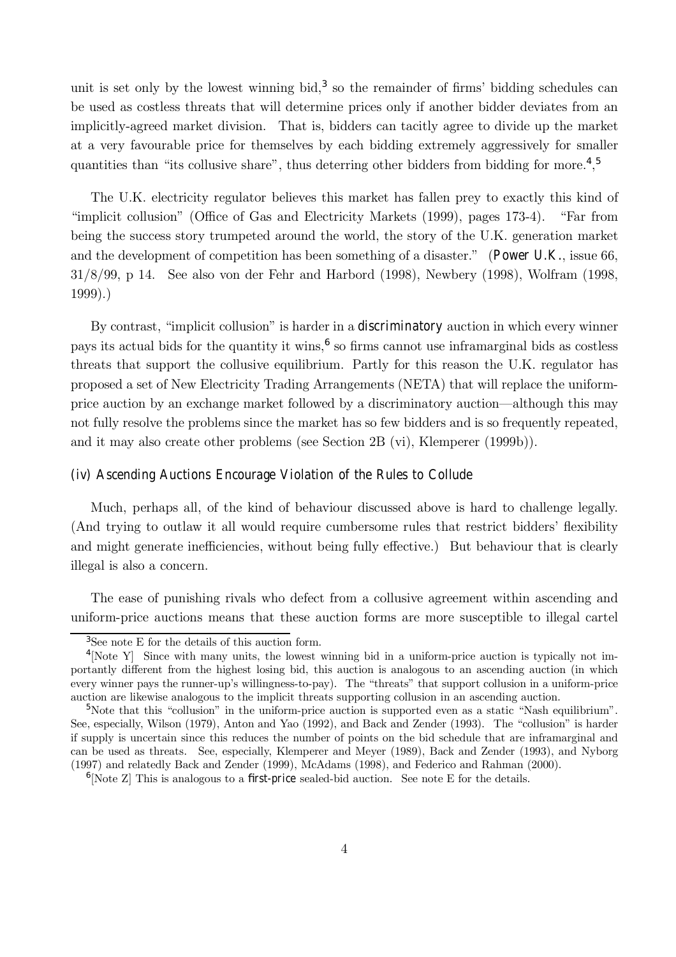unit is set only by the lowest winning bid,<sup>3</sup> so the remainder of firms' bidding schedules can be used as costless threats that will determine prices only if another bidder deviates from an implicitly-agreed market division. That is, bidders can tacitly agree to divide up the market at a very favourable price for themselves by each bidding extremely aggressively for smaller quantities than "its collusive share", thus deterring other bidders from bidding for more.<sup>4</sup>,<sup>5</sup>

The U.K. electricity regulator believes this market has fallen prey to exactly this kind of "implicit collusion" (Office of Gas and Electricity Markets (1999), pages 173-4). "Far from being the success story trumpeted around the world, the story of the U.K. generation market and the development of competition has been something of a disaster." (Power U.K., issue 66, 31/8/99, p 14. See also von der Fehr and Harbord (1998), Newbery (1998), Wolfram (1998, 1999).)

By contrast, "implicit collusion" is harder in a discriminatory auction in which every winner pays its actual bids for the quantity it wins, $<sup>6</sup>$  so firms cannot use inframarginal bids as costless</sup> threats that support the collusive equilibrium. Partly for this reason the U.K. regulator has proposed a set of New Electricity Trading Arrangements (NETA) that will replace the uniformprice auction by an exchange market followed by a discriminatory auction—although this may not fully resolve the problems since the market has so few bidders and is so frequently repeated, and it may also create other problems (see Section 2B (vi), Klemperer (1999b)).

#### (iv) Ascending Auctions Encourage Violation of the Rules to Collude

Much, perhaps all, of the kind of behaviour discussed above is hard to challenge legally. (And trying to outlaw it all would require cumbersome rules that restrict bidders' flexibility and might generate inefficiencies, without being fully effective.) But behaviour that is clearly illegal is also a concern.

The ease of punishing rivals who defect from a collusive agreement within ascending and uniform-price auctions means that these auction forms are more susceptible to illegal cartel

<sup>3</sup>See note E for the details of this auction form.

<sup>4</sup>[Note Y] Since with many units, the lowest winning bid in a uniform-price auction is typically not importantly different from the highest losing bid, this auction is analogous to an ascending auction (in which every winner pays the runner-up's willingness-to-pay). The "threats" that support collusion in a uniform-price auction are likewise analogous to the implicit threats supporting collusion in an ascending auction.

<sup>&</sup>lt;sup>5</sup>Note that this "collusion" in the uniform-price auction is supported even as a static "Nash equilibrium". See, especially, Wilson (1979), Anton and Yao (1992), and Back and Zender (1993). The "collusion" is harder if supply is uncertain since this reduces the number of points on the bid schedule that are inframarginal and can be used as threats. See, especially, Klemperer and Meyer (1989), Back and Zender (1993), and Nyborg (1997) and relatedly Back and Zender (1999), McAdams (1998), and Federico and Rahman (2000).

<sup>&</sup>lt;sup>6</sup>[Note Z] This is analogous to a first-price sealed-bid auction. See note E for the details.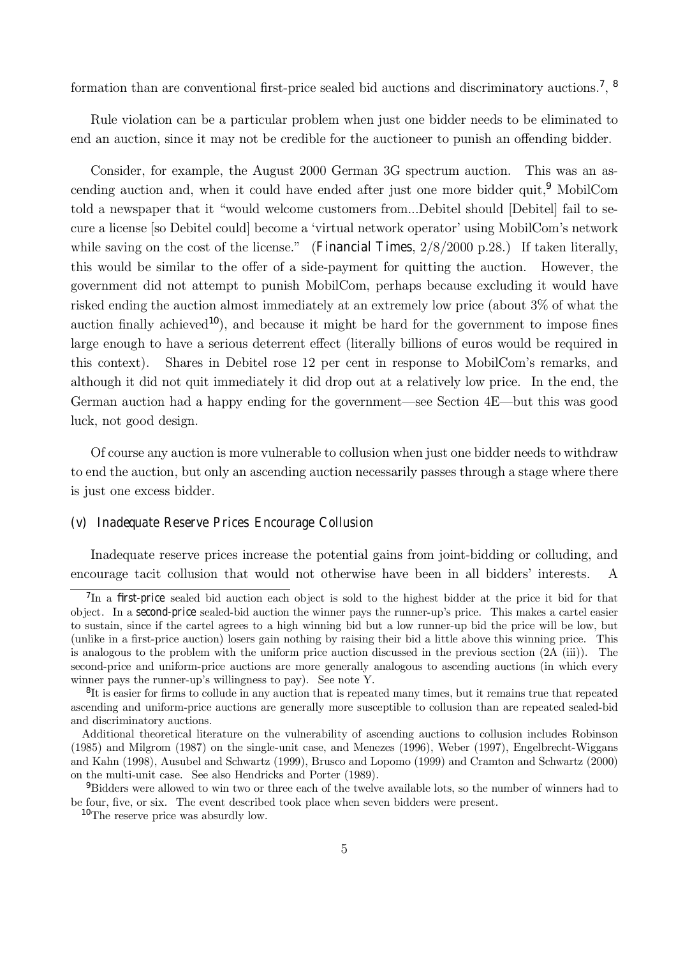formation than are conventional first-price sealed bid auctions and discriminatory auctions.<sup>7</sup>, <sup>8</sup>

Rule violation can be a particular problem when just one bidder needs to be eliminated to end an auction, since it may not be credible for the auctioneer to punish an offending bidder.

Consider, for example, the August 2000 German 3G spectrum auction. This was an ascending auction and, when it could have ended after just one more bidder quit.<sup>9</sup> MobilCom told a newspaper that it "would welcome customers from...Debitel should [Debitel] fail to secure a license [so Debitel could] become a 'virtual network operator' using MobilCom's network while saving on the cost of the license." (Financial Times,  $2/8/2000$  p.28.) If taken literally, this would be similar to the offer of a side-payment for quitting the auction. However, the government did not attempt to punish MobilCom, perhaps because excluding it would have risked ending the auction almost immediately at an extremely low price (about 3% of what the auction finally achieved<sup>10</sup>), and because it might be hard for the government to impose fines large enough to have a serious deterrent effect (literally billions of euros would be required in this context). Shares in Debitel rose 12 per cent in response to MobilCom's remarks, and although it did not quit immediately it did drop out at a relatively low price. In the end, the German auction had a happy ending for the government—see Section  $4E$ —but this was good luck, not good design.

Of course any auction is more vulnerable to collusion when just one bidder needs to withdraw to end the auction, but only an ascending auction necessarily passes through a stage where there is just one excess bidder.

#### (v) Inadequate Reserve Prices Encourage Collusion

Inadequate reserve prices increase the potential gains from joint-bidding or colluding, and encourage tacit collusion that would not otherwise have been in all bidders' interests. A

<sup>&</sup>lt;sup>7</sup>In a first-price sealed bid auction each object is sold to the highest bidder at the price it bid for that object. In a second-price sealed-bid auction the winner pays the runner-upís price. This makes a cartel easier to sustain, since if the cartel agrees to a high winning bid but a low runner-up bid the price will be low, but (unlike in a first-price auction) losers gain nothing by raising their bid a little above this winning price. This is analogous to the problem with the uniform price auction discussed in the previous section (2A (iii)). The second-price and uniform-price auctions are more generally analogous to ascending auctions (in which every winner pays the runner-up's willingness to pay). See note Y.

<sup>&</sup>lt;sup>8</sup>It is easier for firms to collude in any auction that is repeated many times, but it remains true that repeated ascending and uniform-price auctions are generally more susceptible to collusion than are repeated sealed-bid and discriminatory auctions.

Additional theoretical literature on the vulnerability of ascending auctions to collusion includes Robinson (1985) and Milgrom (1987) on the single-unit case, and Menezes (1996), Weber (1997), Engelbrecht-Wiggans and Kahn (1998), Ausubel and Schwartz (1999), Brusco and Lopomo (1999) and Cramton and Schwartz (2000) on the multi-unit case. See also Hendricks and Porter (1989).

<sup>9</sup>Bidders were allowed to win two or three each of the twelve available lots, so the number of winners had to be four, five, or six. The event described took place when seven bidders were present.

<sup>10</sup>The reserve price was absurdly low.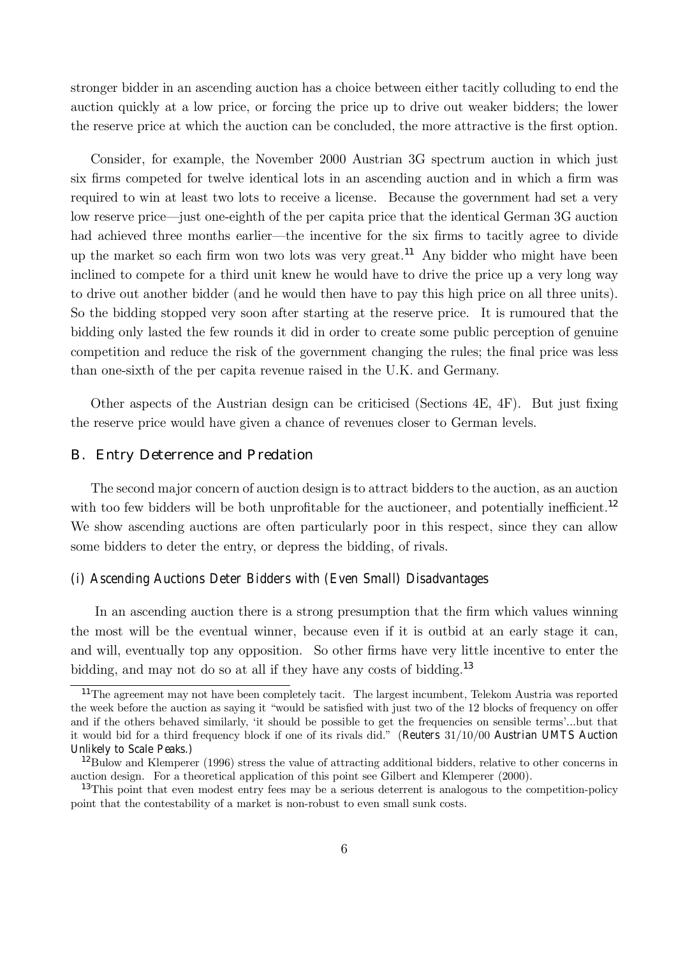stronger bidder in an ascending auction has a choice between either tacitly colluding to end the auction quickly at a low price, or forcing the price up to drive out weaker bidders; the lower the reserve price at which the auction can be concluded, the more attractive is the first option.

Consider, for example, the November 2000 Austrian 3G spectrum auction in which just six firms competed for twelve identical lots in an ascending auction and in which a firm was required to win at least two lots to receive a license. Because the government had set a very low reserve price—just one-eighth of the per capita price that the identical German 3G auction had achieved three months earlier—the incentive for the six firms to tacitly agree to divide up the market so each firm won two lots was very great.<sup>11</sup> Any bidder who might have been inclined to compete for a third unit knew he would have to drive the price up a very long way to drive out another bidder (and he would then have to pay this high price on all three units). So the bidding stopped very soon after starting at the reserve price. It is rumoured that the bidding only lasted the few rounds it did in order to create some public perception of genuine competition and reduce the risk of the government changing the rules; the final price was less than one-sixth of the per capita revenue raised in the U.K. and Germany.

Other aspects of the Austrian design can be criticised (Sections 4E, 4F). But just fixing the reserve price would have given a chance of revenues closer to German levels.

## B. Entry Deterrence and Predation

The second major concern of auction design is to attract bidders to the auction, as an auction with too few bidders will be both unprofitable for the auctioneer, and potentially inefficient.<sup>12</sup> We show ascending auctions are often particularly poor in this respect, since they can allow some bidders to deter the entry, or depress the bidding, of rivals.

#### (i) Ascending Auctions Deter Bidders with (Even Small) Disadvantages

In an ascending auction there is a strong presumption that the firm which values winning the most will be the eventual winner, because even if it is outbid at an early stage it can, and will, eventually top any opposition. So other firms have very little incentive to enter the bidding, and may not do so at all if they have any costs of bidding.<sup>13</sup>

<sup>11</sup>The agreement may not have been completely tacit. The largest incumbent, Telekom Austria was reported the week before the auction as saying it "would be satisfied with just two of the 12 blocks of frequency on offer and if the others behaved similarly, 'it should be possible to get the frequencies on sensible terms'...but that it would bid for a third frequency block if one of its rivals did.î (Reuters 31/10/00 Austrian UMTS Auction Unlikely to Scale Peaks.)

<sup>&</sup>lt;sup>12</sup>Bulow and Klemperer (1996) stress the value of attracting additional bidders, relative to other concerns in auction design. For a theoretical application of this point see Gilbert and Klemperer (2000).

<sup>&</sup>lt;sup>13</sup>This point that even modest entry fees may be a serious deterrent is analogous to the competition-policy point that the contestability of a market is non-robust to even small sunk costs.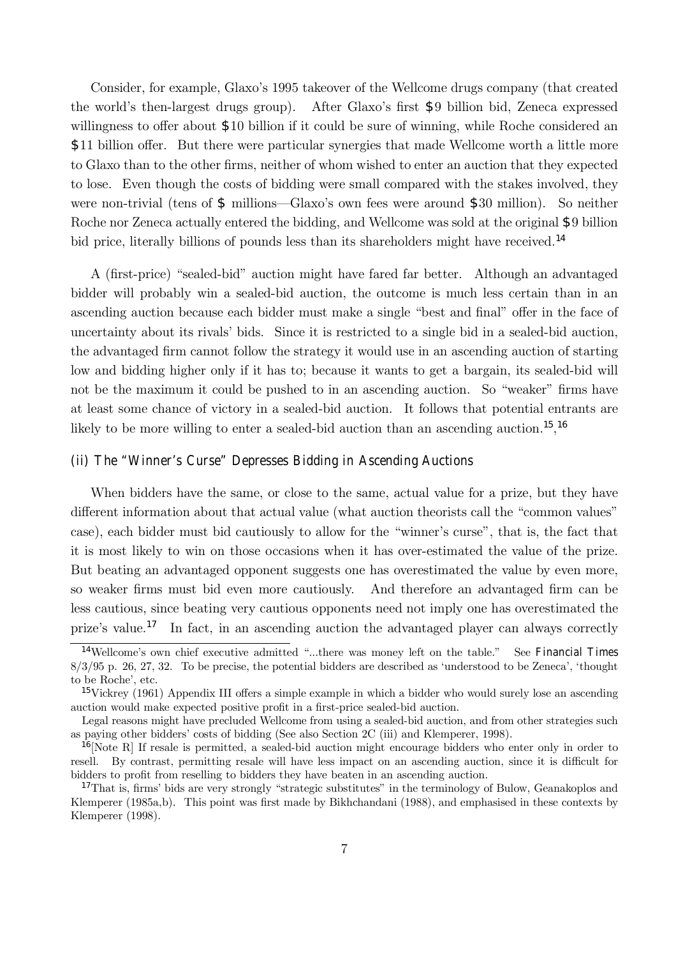Consider, for example, Glaxo's 1995 takeover of the Wellcome drugs company (that created the world's then-largest drugs group). After Glaxo's first \$9 billion bid, Zeneca expressed willingness to offer about \$10 billion if it could be sure of winning, while Roche considered an \$11 billion offer. But there were particular synergies that made Wellcome worth a little more to Glaxo than to the other firms, neither of whom wished to enter an auction that they expected to lose. Even though the costs of bidding were small compared with the stakes involved, they were non-trivial (tens of  $\frac{1}{2}$  millions—Glaxo's own fees were around  $\frac{1}{2}30$  million). So neither Roche nor Zeneca actually entered the bidding, and Wellcome was sold at the original \$9 billion bid price, literally billions of pounds less than its shareholders might have received.<sup>14</sup>

A (first-price) "sealed-bid" auction might have fared far better. Although an advantaged bidder will probably win a sealed-bid auction, the outcome is much less certain than in an ascending auction because each bidder must make a single "best and final" offer in the face of uncertainty about its rivalsí bids. Since it is restricted to a single bid in a sealed-bid auction, the advantaged firm cannot follow the strategy it would use in an ascending auction of starting low and bidding higher only if it has to; because it wants to get a bargain, its sealed-bid will not be the maximum it could be pushed to in an ascending auction. So "weaker" firms have at least some chance of victory in a sealed-bid auction. It follows that potential entrants are likely to be more willing to enter a sealed-bid auction than an ascending auction.<sup>15</sup>,<sup>16</sup>

### (ii) The "Winner's Curse" Depresses Bidding in Ascending Auctions

When bidders have the same, or close to the same, actual value for a prize, but they have different information about that actual value (what auction theorists call the "common values" case), each bidder must bid cautiously to allow for the "winner's curse", that is, the fact that it is most likely to win on those occasions when it has over-estimated the value of the prize. But beating an advantaged opponent suggests one has overestimated the value by even more, so weaker firms must bid even more cautiously. And therefore an advantaged firm can be less cautious, since beating very cautious opponents need not imply one has overestimated the prize's value.<sup>17</sup> In fact, in an ascending auction the advantaged player can always correctly

<sup>&</sup>lt;sup>14</sup>Wellcome's own chief executive admitted "...there was money left on the table." See Financial Times  $8/3/95$  p. 26, 27, 32. To be precise, the potential bidders are described as 'understood to be Zeneca', 'thought' to be Roche', etc.

<sup>15</sup>Vickrey (1961) Appendix III offers a simple example in which a bidder who would surely lose an ascending auction would make expected positive profit in a first-price sealed-bid auction.

Legal reasons might have precluded Wellcome from using a sealed-bid auction, and from other strategies such as paying other bidders' costs of bidding (See also Section 2C (iii) and Klemperer, 1998).

 $16$ [Note R] If resale is permitted, a sealed-bid auction might encourage bidders who enter only in order to resell. By contrast, permitting resale will have less impact on an ascending auction, since it is difficult for bidders to profit from reselling to bidders they have beaten in an ascending auction.

 $17$ That is, firms' bids are very strongly "strategic substitutes" in the terminology of Bulow, Geanakoplos and Klemperer (1985a,b). This point was first made by Bikhchandani (1988), and emphasised in these contexts by Klemperer (1998).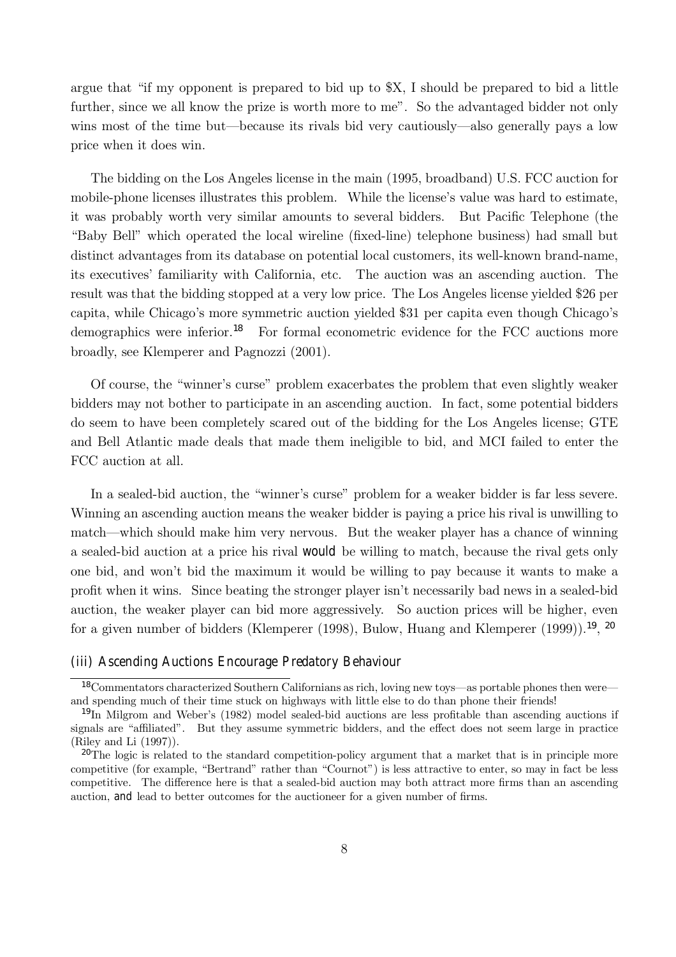argue that "if my opponent is prepared to bid up to  $X$ , I should be prepared to bid a little further, since we all know the prize is worth more to me". So the advantaged bidder not only wins most of the time but—because its rivals bid very cautiously—also generally pays a low price when it does win.

The bidding on the Los Angeles license in the main (1995, broadband) U.S. FCC auction for mobile-phone licenses illustrates this problem. While the license's value was hard to estimate, it was probably worth very similar amounts to several bidders. But Pacific Telephone (the ìBaby Bellî which operated the local wireline (fixed-line) telephone business) had small but distinct advantages from its database on potential local customers, its well-known brand-name, its executives' familiarity with California, etc. The auction was an ascending auction. The result was that the bidding stopped at a very low price. The Los Angeles license yielded \$26 per capita, while Chicago's more symmetric auction yielded \$31 per capita even though Chicago's demographics were inferior.<sup>18</sup> For formal econometric evidence for the FCC auctions more broadly, see Klemperer and Pagnozzi (2001).

Of course, the "winner's curse" problem exacerbates the problem that even slightly weaker bidders may not bother to participate in an ascending auction. In fact, some potential bidders do seem to have been completely scared out of the bidding for the Los Angeles license; GTE and Bell Atlantic made deals that made them ineligible to bid, and MCI failed to enter the FCC auction at all.

In a sealed-bid auction, the "winner's curse" problem for a weaker bidder is far less severe. Winning an ascending auction means the weaker bidder is paying a price his rival is unwilling to match—which should make him very nervous. But the weaker player has a chance of winning a sealed-bid auction at a price his rival would be willing to match, because the rival gets only one bid, and wonít bid the maximum it would be willing to pay because it wants to make a profit when it wins. Since beating the stronger player isn't necessarily bad news in a sealed-bid auction, the weaker player can bid more aggressively. So auction prices will be higher, even for a given number of bidders (Klemperer (1998), Bulow, Huang and Klemperer (1999)).<sup>19</sup>, <sup>20</sup>

#### (iii) Ascending Auctions Encourage Predatory Behaviour

 $18$ Commentators characterized Southern Californians as rich, loving new toys—as portable phones then were and spending much of their time stuck on highways with little else to do than phone their friends!

<sup>19</sup>In Milgrom and Weberís (1982) model sealed-bid auctions are less profitable than ascending auctions if signals are "affiliated". But they assume symmetric bidders, and the effect does not seem large in practice (Riley and Li (1997)).

<sup>&</sup>lt;sup>20</sup>The logic is related to the standard competition-policy argument that a market that is in principle more competitive (for example, "Bertrand" rather than "Cournot") is less attractive to enter, so may in fact be less competitive. The difference here is that a sealed-bid auction may both attract more firms than an ascending auction, and lead to better outcomes for the auctioneer for a given number of firms.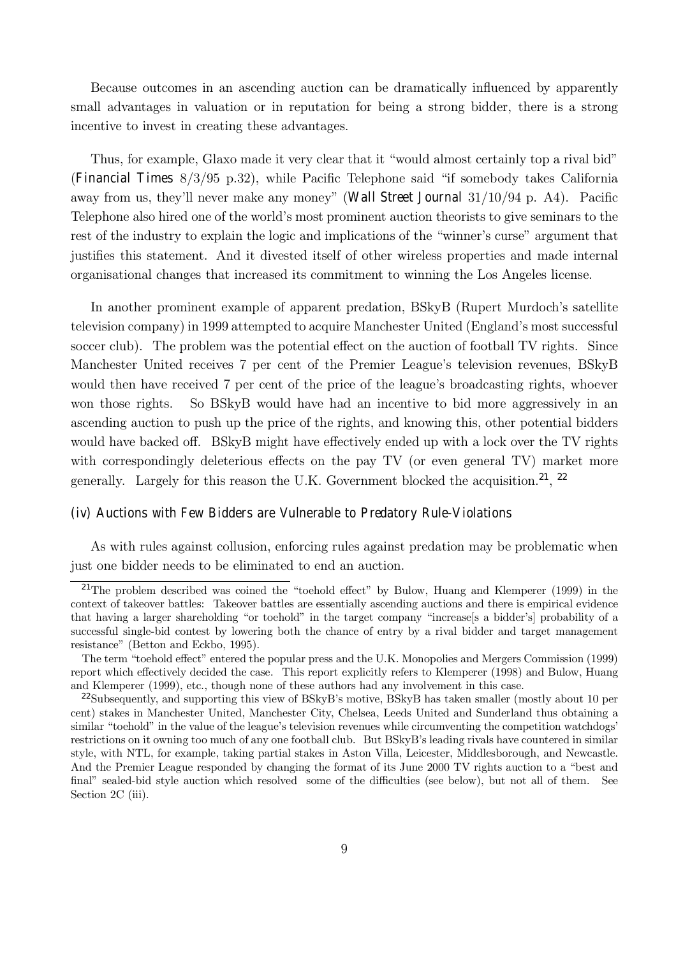Because outcomes in an ascending auction can be dramatically influenced by apparently small advantages in valuation or in reputation for being a strong bidder, there is a strong incentive to invest in creating these advantages.

Thus, for example, Glaxo made it very clear that it "would almost certainly top a rival bid" (Financial Times  $8/3/95$  p.32), while Pacific Telephone said "if somebody takes California away from us, they'll never make any money" (Wall Street Journal  $31/10/94$  p. A4). Pacific Telephone also hired one of the world's most prominent auction theorists to give seminars to the rest of the industry to explain the logic and implications of the "winner's curse" argument that justifies this statement. And it divested itself of other wireless properties and made internal organisational changes that increased its commitment to winning the Los Angeles license.

In another prominent example of apparent predation, BSkyB (Rupert Murdoch's satellite television company) in 1999 attempted to acquire Manchester United (England's most successful soccer club). The problem was the potential effect on the auction of football TV rights. Since Manchester United receives 7 per cent of the Premier League's television revenues, BSkyB would then have received 7 per cent of the price of the league's broadcasting rights, whoever won those rights. So BSkyB would have had an incentive to bid more aggressively in an ascending auction to push up the price of the rights, and knowing this, other potential bidders would have backed off. BSkyB might have effectively ended up with a lock over the TV rights with correspondingly deleterious effects on the pay TV (or even general TV) market more generally. Largely for this reason the U.K. Government blocked the acquisition.<sup>21</sup>, <sup>22</sup>

#### (iv) Auctions with Few Bidders are Vulnerable to Predatory Rule-Violations

As with rules against collusion, enforcing rules against predation may be problematic when just one bidder needs to be eliminated to end an auction.

<sup>&</sup>lt;sup>21</sup>The problem described was coined the "toehold effect" by Bulow, Huang and Klemperer (1999) in the context of takeover battles: Takeover battles are essentially ascending auctions and there is empirical evidence that having a larger shareholding "or toehold" in the target company "increase[s a bidder's] probability of a successful single-bid contest by lowering both the chance of entry by a rival bidder and target management resistance" (Betton and Eckbo, 1995).

The term "toehold effect" entered the popular press and the U.K. Monopolies and Mergers Commission (1999) report which effectively decided the case. This report explicitly refers to Klemperer (1998) and Bulow, Huang and Klemperer (1999), etc., though none of these authors had any involvement in this case.

 $^{22}$ Subsequently, and supporting this view of BSkyB's motive, BSkyB has taken smaller (mostly about 10 per cent) stakes in Manchester United, Manchester City, Chelsea, Leeds United and Sunderland thus obtaining a similar "toehold" in the value of the league's television revenues while circumventing the competition watchdogs' restrictions on it owning too much of any one football club. But BSkyB's leading rivals have countered in similar style, with NTL, for example, taking partial stakes in Aston Villa, Leicester, Middlesborough, and Newcastle. And the Premier League responded by changing the format of its June 2000 TV rights auction to a "best and final" sealed-bid style auction which resolved some of the difficulties (see below), but not all of them. See Section 2C (iii).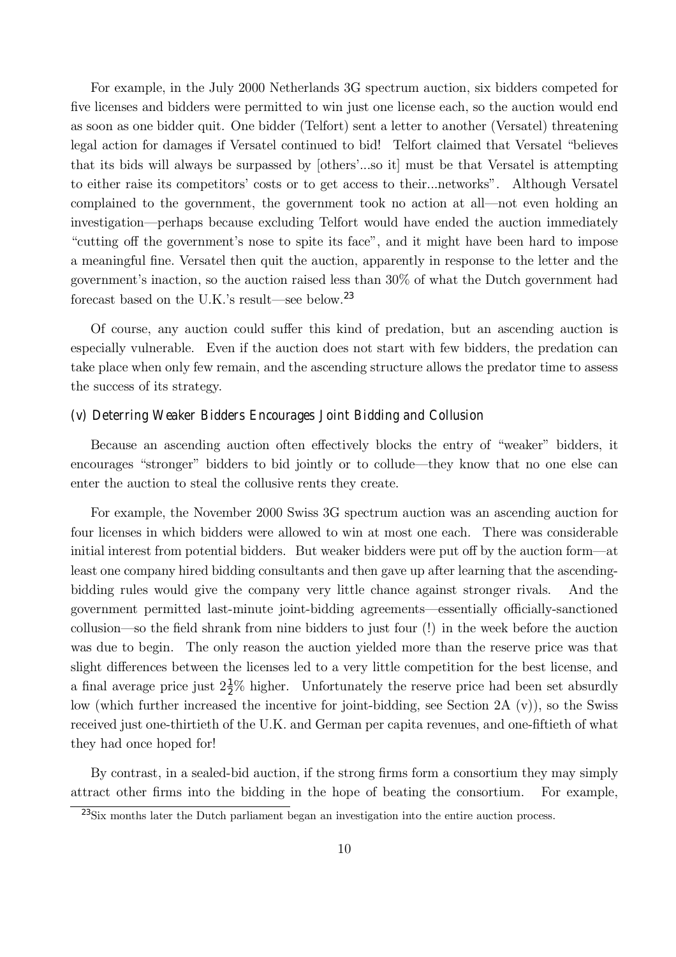For example, in the July 2000 Netherlands 3G spectrum auction, six bidders competed for five licenses and bidders were permitted to win just one license each, so the auction would end as soon as one bidder quit. One bidder (Telfort) sent a letter to another (Versatel) threatening legal action for damages if Versatel continued to bid! Telfort claimed that Versatel "believes" that its bids will always be surpassed by [othersí...so it] must be that Versatel is attempting to either raise its competitors' costs or to get access to their...networks". Although Versatel complained to the government, the government took no action at all—not even holding an investigation—perhaps because excluding Telfort would have ended the auction immediately "cutting off the government's nose to spite its face", and it might have been hard to impose a meaningful fine. Versatel then quit the auction, apparently in response to the letter and the government's inaction, so the auction raised less than  $30\%$  of what the Dutch government had forecast based on the U.K.'s result—see below.<sup>23</sup>

Of course, any auction could suffer this kind of predation, but an ascending auction is especially vulnerable. Even if the auction does not start with few bidders, the predation can take place when only few remain, and the ascending structure allows the predator time to assess the success of its strategy.

# (v) Deterring Weaker Bidders Encourages Joint Bidding and Collusion

Because an ascending auction often effectively blocks the entry of "weaker" bidders, it encourages "stronger" bidders to bid jointly or to collude—they know that no one else can enter the auction to steal the collusive rents they create.

For example, the November 2000 Swiss 3G spectrum auction was an ascending auction for four licenses in which bidders were allowed to win at most one each. There was considerable initial interest from potential bidders. But weaker bidders were put off by the auction form—at least one company hired bidding consultants and then gave up after learning that the ascendingbidding rules would give the company very little chance against stronger rivals. And the government permitted last-minute joint-bidding agreements—essentially officially-sanctioned collusion—so the field shrank from nine bidders to just four (!) in the week before the auction was due to begin. The only reason the auction yielded more than the reserve price was that slight differences between the licenses led to a very little competition for the best license, and a final average price just  $2\frac{1}{2}\%$  higher. Unfortunately the reserve price had been set absurdly low (which further increased the incentive for joint-bidding, see Section 2A (v)), so the Swiss received just one-thirtieth of the U.K. and German per capita revenues, and one-fiftieth of what they had once hoped for!

By contrast, in a sealed-bid auction, if the strong firms form a consortium they may simply attract other firms into the bidding in the hope of beating the consortium. For example,

<sup>23</sup>Six months later the Dutch parliament began an investigation into the entire auction process.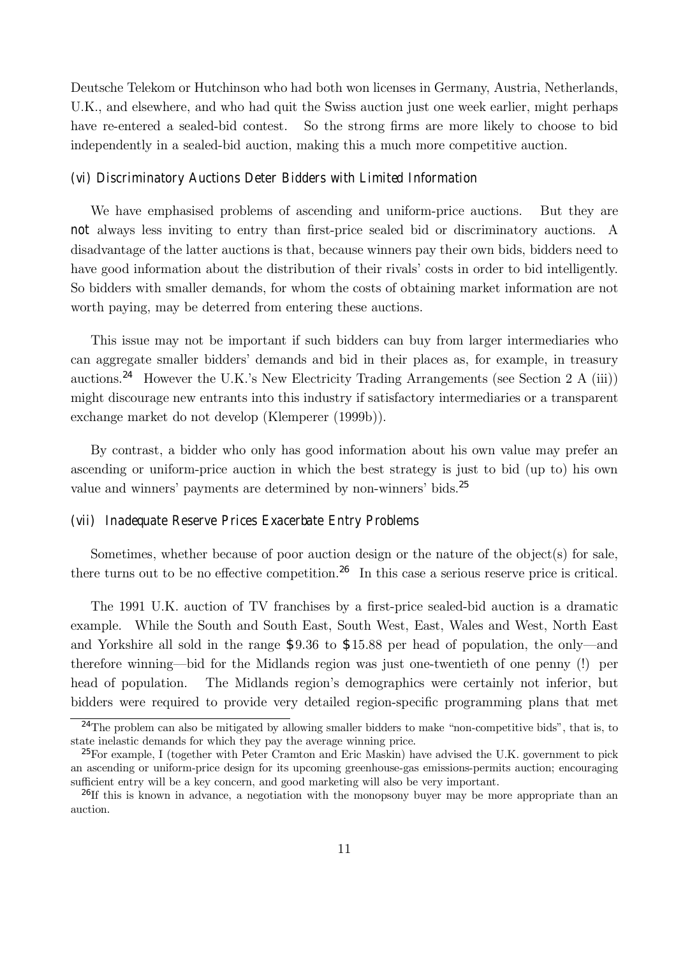Deutsche Telekom or Hutchinson who had both won licenses in Germany, Austria, Netherlands, U.K., and elsewhere, and who had quit the Swiss auction just one week earlier, might perhaps have re-entered a sealed-bid contest. So the strong firms are more likely to choose to bid independently in a sealed-bid auction, making this a much more competitive auction.

#### (vi) Discriminatory Auctions Deter Bidders with Limited Information

We have emphasised problems of ascending and uniform-price auctions. But they are not always less inviting to entry than first-price sealed bid or discriminatory auctions. A disadvantage of the latter auctions is that, because winners pay their own bids, bidders need to have good information about the distribution of their rivals' costs in order to bid intelligently. So bidders with smaller demands, for whom the costs of obtaining market information are not worth paying, may be deterred from entering these auctions.

This issue may not be important if such bidders can buy from larger intermediaries who can aggregate smaller biddersí demands and bid in their places as, for example, in treasury auctions.<sup>24</sup> However the U.K.'s New Electricity Trading Arrangements (see Section 2 A (iii)) might discourage new entrants into this industry if satisfactory intermediaries or a transparent exchange market do not develop (Klemperer (1999b)).

By contrast, a bidder who only has good information about his own value may prefer an ascending or uniform-price auction in which the best strategy is just to bid (up to) his own value and winners' payments are determined by non-winners' bids.<sup>25</sup>

# (vii) Inadequate Reserve Prices Exacerbate Entry Problems

Sometimes, whether because of poor auction design or the nature of the object(s) for sale, there turns out to be no effective competition.<sup>26</sup> In this case a serious reserve price is critical.

The 1991 U.K. auction of TV franchises by a first-price sealed-bid auction is a dramatic example. While the South and South East, South West, East, Wales and West, North East and Yorkshire all sold in the range  $$9.36$  to  $$15.88$  per head of population, the only—and therefore winning—bid for the Midlands region was just one-twentieth of one penny (!) per head of population. The Midlands region's demographics were certainly not inferior, but bidders were required to provide very detailed region-specific programming plans that met

 $24$ The problem can also be mitigated by allowing smaller bidders to make "non-competitive bids", that is, to state inelastic demands for which they pay the average winning price.

<sup>&</sup>lt;sup>25</sup>For example, I (together with Peter Cramton and Eric Maskin) have advised the U.K. government to pick an ascending or uniform-price design for its upcoming greenhouse-gas emissions-permits auction; encouraging sufficient entry will be a key concern, and good marketing will also be very important.

<sup>&</sup>lt;sup>26</sup>If this is known in advance, a negotiation with the monopsony buyer may be more appropriate than an auction.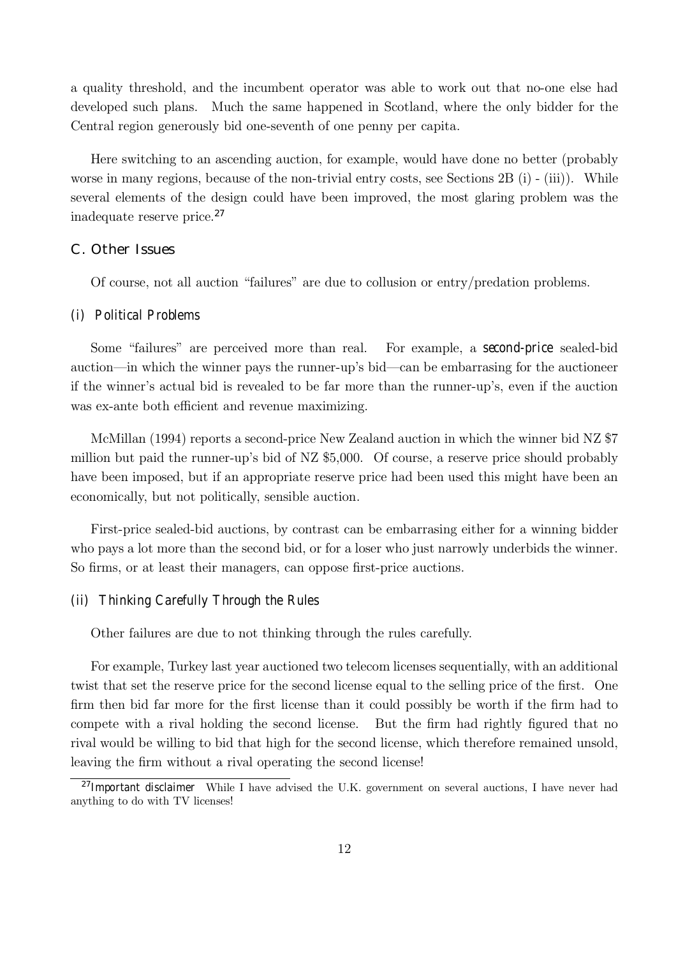a quality threshold, and the incumbent operator was able to work out that no-one else had developed such plans. Much the same happened in Scotland, where the only bidder for the Central region generously bid one-seventh of one penny per capita.

Here switching to an ascending auction, for example, would have done no better (probably worse in many regions, because of the non-trivial entry costs, see Sections 2B (i) - (iii)). While several elements of the design could have been improved, the most glaring problem was the inadequate reserve price.<sup>27</sup>

# C. Other Issues

Of course, not all auction "failures" are due to collusion or entry/predation problems.

## (i) Political Problems

Some "failures" are perceived more than real. For example, a second-price sealed-bid auction—in which the winner pays the runner-up's bid—can be embarrasing for the auctioneer if the winner's actual bid is revealed to be far more than the runner-up's, even if the auction was ex-ante both efficient and revenue maximizing.

McMillan (1994) reports a second-price New Zealand auction in which the winner bid NZ \$7 million but paid the runner-upís bid of NZ \$5,000. Of course, a reserve price should probably have been imposed, but if an appropriate reserve price had been used this might have been an economically, but not politically, sensible auction.

First-price sealed-bid auctions, by contrast can be embarrasing either for a winning bidder who pays a lot more than the second bid, or for a loser who just narrowly underbids the winner. So firms, or at least their managers, can oppose first-price auctions.

### (ii) Thinking Carefully Through the Rules

Other failures are due to not thinking through the rules carefully.

For example, Turkey last year auctioned two telecom licenses sequentially, with an additional twist that set the reserve price for the second license equal to the selling price of the first. One firm then bid far more for the first license than it could possibly be worth if the firm had to compete with a rival holding the second license. But the firm had rightly figured that no rival would be willing to bid that high for the second license, which therefore remained unsold, leaving the firm without a rival operating the second license!

<sup>&</sup>lt;sup>27</sup>Important disclaimer While I have advised the U.K. government on several auctions, I have never had anything to do with TV licenses!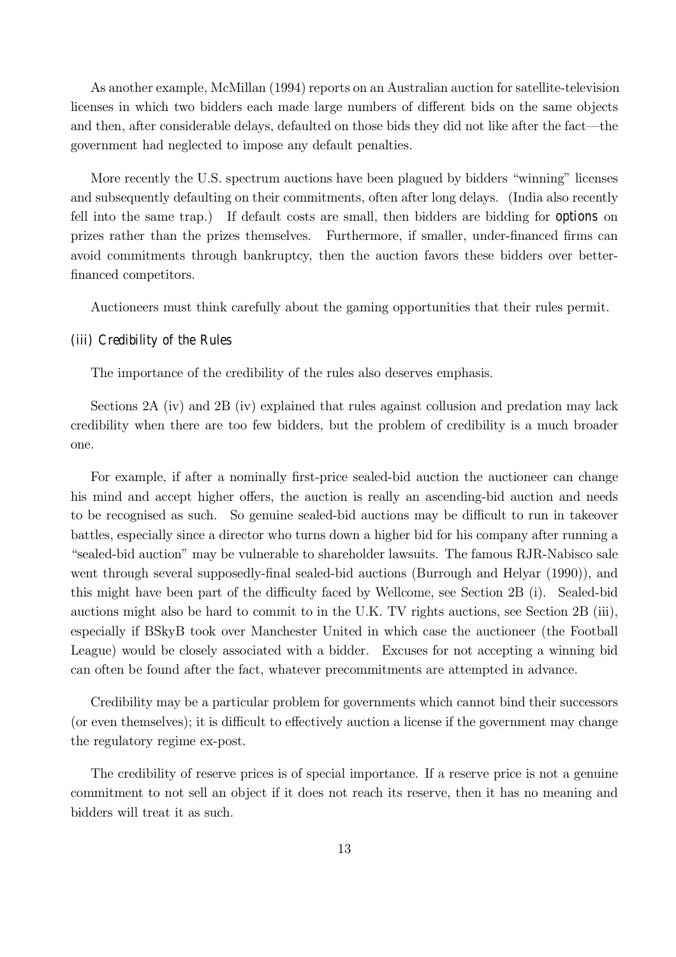As another example, McMillan (1994) reports on an Australian auction for satellite-television licenses in which two bidders each made large numbers of different bids on the same objects and then, after considerable delays, defaulted on those bids they did not like after the fact—the government had neglected to impose any default penalties.

More recently the U.S. spectrum auctions have been plagued by bidders "winning" licenses and subsequently defaulting on their commitments, often after long delays. (India also recently fell into the same trap.) If default costs are small, then bidders are bidding for options on prizes rather than the prizes themselves. Furthermore, if smaller, under-financed firms can avoid commitments through bankruptcy, then the auction favors these bidders over betterfinanced competitors.

Auctioneers must think carefully about the gaming opportunities that their rules permit.

## (iii) Credibility of the Rules

The importance of the credibility of the rules also deserves emphasis.

Sections 2A (iv) and 2B (iv) explained that rules against collusion and predation may lack credibility when there are too few bidders, but the problem of credibility is a much broader one.

For example, if after a nominally first-price sealed-bid auction the auctioneer can change his mind and accept higher offers, the auction is really an ascending-bid auction and needs to be recognised as such. So genuine sealed-bid auctions may be difficult to run in takeover battles, especially since a director who turns down a higher bid for his company after running a ìsealed-bid auctionî may be vulnerable to shareholder lawsuits. The famous RJR-Nabisco sale went through several supposedly-final sealed-bid auctions (Burrough and Helyar (1990)), and this might have been part of the difficulty faced by Wellcome, see Section 2B (i). Sealed-bid auctions might also be hard to commit to in the U.K. TV rights auctions, see Section 2B (iii), especially if BSkyB took over Manchester United in which case the auctioneer (the Football League) would be closely associated with a bidder. Excuses for not accepting a winning bid can often be found after the fact, whatever precommitments are attempted in advance.

Credibility may be a particular problem for governments which cannot bind their successors (or even themselves); it is difficult to effectively auction a license if the government may change the regulatory regime ex-post.

The credibility of reserve prices is of special importance. If a reserve price is not a genuine commitment to not sell an object if it does not reach its reserve, then it has no meaning and bidders will treat it as such.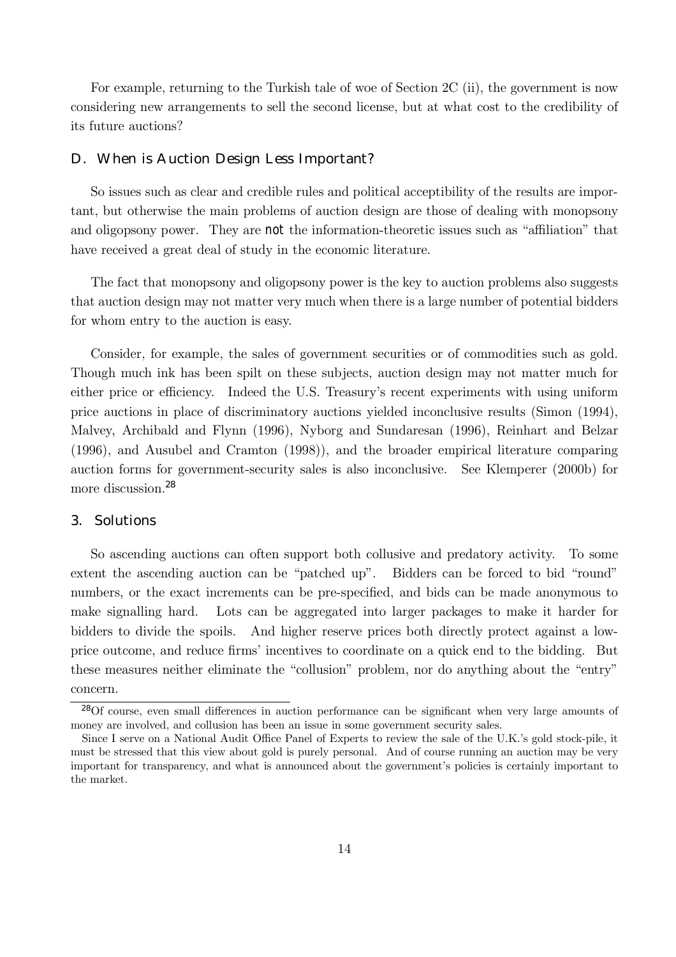For example, returning to the Turkish tale of woe of Section 2C (ii), the government is now considering new arrangements to sell the second license, but at what cost to the credibility of its future auctions?

#### D. When is Auction Design Less Important?

So issues such as clear and credible rules and political acceptibility of the results are important, but otherwise the main problems of auction design are those of dealing with monopsony and oligopsony power. They are not the information-theoretic issues such as "affiliation" that have received a great deal of study in the economic literature.

The fact that monopsony and oligopsony power is the key to auction problems also suggests that auction design may not matter very much when there is a large number of potential bidders for whom entry to the auction is easy.

Consider, for example, the sales of government securities or of commodities such as gold. Though much ink has been spilt on these subjects, auction design may not matter much for either price or efficiency. Indeed the U.S. Treasury's recent experiments with using uniform price auctions in place of discriminatory auctions yielded inconclusive results (Simon (1994), Malvey, Archibald and Flynn (1996), Nyborg and Sundaresan (1996), Reinhart and Belzar (1996), and Ausubel and Cramton (1998)), and the broader empirical literature comparing auction forms for government-security sales is also inconclusive. See Klemperer (2000b) for more discussion.<sup>28</sup>

# 3. Solutions

So ascending auctions can often support both collusive and predatory activity. To some extent the ascending auction can be "patched up". Bidders can be forced to bid "round" numbers, or the exact increments can be pre-specified, and bids can be made anonymous to make signalling hard. Lots can be aggregated into larger packages to make it harder for bidders to divide the spoils. And higher reserve prices both directly protect against a lowprice outcome, and reduce firmsí incentives to coordinate on a quick end to the bidding. But these measures neither eliminate the "collusion" problem, nor do anything about the "entry" concern.

<sup>28</sup>Of course, even small differences in auction performance can be significant when very large amounts of money are involved, and collusion has been an issue in some government security sales.

Since I serve on a National Audit Office Panel of Experts to review the sale of the U.K.'s gold stock-pile, it must be stressed that this view about gold is purely personal. And of course running an auction may be very important for transparency, and what is announced about the government's policies is certainly important to the market.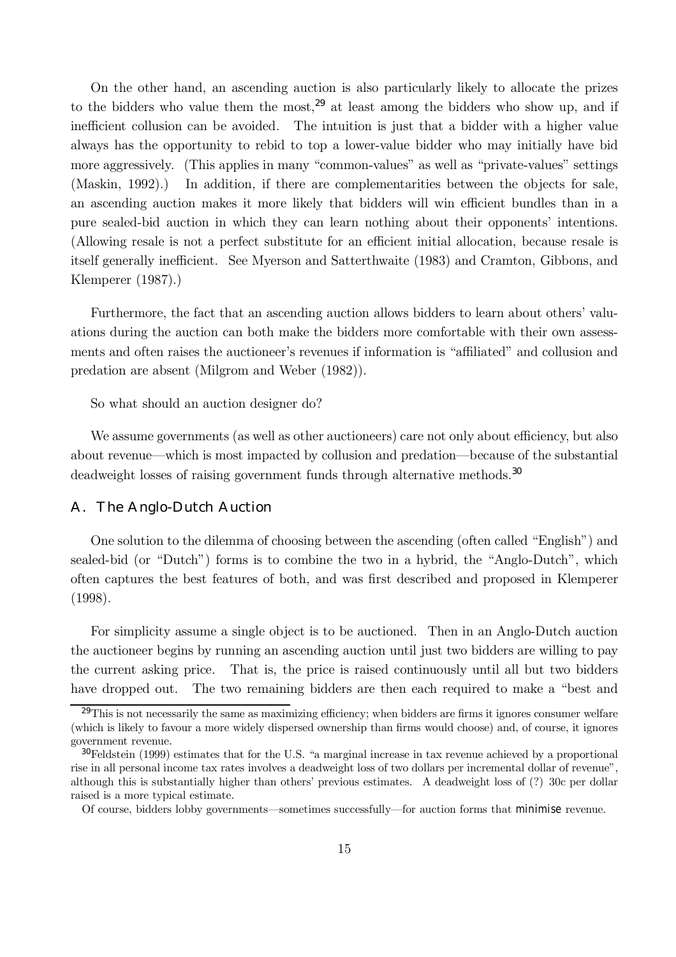On the other hand, an ascending auction is also particularly likely to allocate the prizes to the bidders who value them the most,<sup>29</sup> at least among the bidders who show up, and if inefficient collusion can be avoided. The intuition is just that a bidder with a higher value always has the opportunity to rebid to top a lower-value bidder who may initially have bid more aggressively. (This applies in many "common-values" as well as "private-values" settings (Maskin, 1992).) In addition, if there are complementarities between the objects for sale, an ascending auction makes it more likely that bidders will win efficient bundles than in a pure sealed-bid auction in which they can learn nothing about their opponents' intentions. (Allowing resale is not a perfect substitute for an efficient initial allocation, because resale is itself generally inefficient. See Myerson and Satterthwaite (1983) and Cramton, Gibbons, and Klemperer (1987).)

Furthermore, the fact that an ascending auction allows bidders to learn about others' valuations during the auction can both make the bidders more comfortable with their own assessments and often raises the auctioneer's revenues if information is "affiliated" and collusion and predation are absent (Milgrom and Weber (1982)).

So what should an auction designer do?

We assume governments (as well as other auctioneers) care not only about efficiency, but also about revenue—which is most impacted by collusion and predation—because of the substantial deadweight losses of raising government funds through alternative methods.<sup>30</sup>

# A. The Anglo-Dutch Auction

One solution to the dilemma of choosing between the ascending (often called "English") and sealed-bid (or "Dutch") forms is to combine the two in a hybrid, the "Anglo-Dutch", which often captures the best features of both, and was first described and proposed in Klemperer (1998).

For simplicity assume a single object is to be auctioned. Then in an Anglo-Dutch auction the auctioneer begins by running an ascending auction until just two bidders are willing to pay the current asking price. That is, the price is raised continuously until all but two bidders have dropped out. The two remaining bidders are then each required to make a "best and

<sup>&</sup>lt;sup>29</sup>This is not necessarily the same as maximizing efficiency; when bidders are firms it ignores consumer welfare (which is likely to favour a more widely dispersed ownership than firms would choose) and, of course, it ignores government revenue.

 $30$ Feldstein (1999) estimates that for the U.S. "a marginal increase in tax revenue achieved by a proportional rise in all personal income tax rates involves a deadweight loss of two dollars per incremental dollar of revenue", although this is substantially higher than othersí previous estimates. A deadweight loss of (?) 30c per dollar raised is a more typical estimate.

Of course, bidders lobby governments—sometimes successfully—for auction forms that minimise revenue.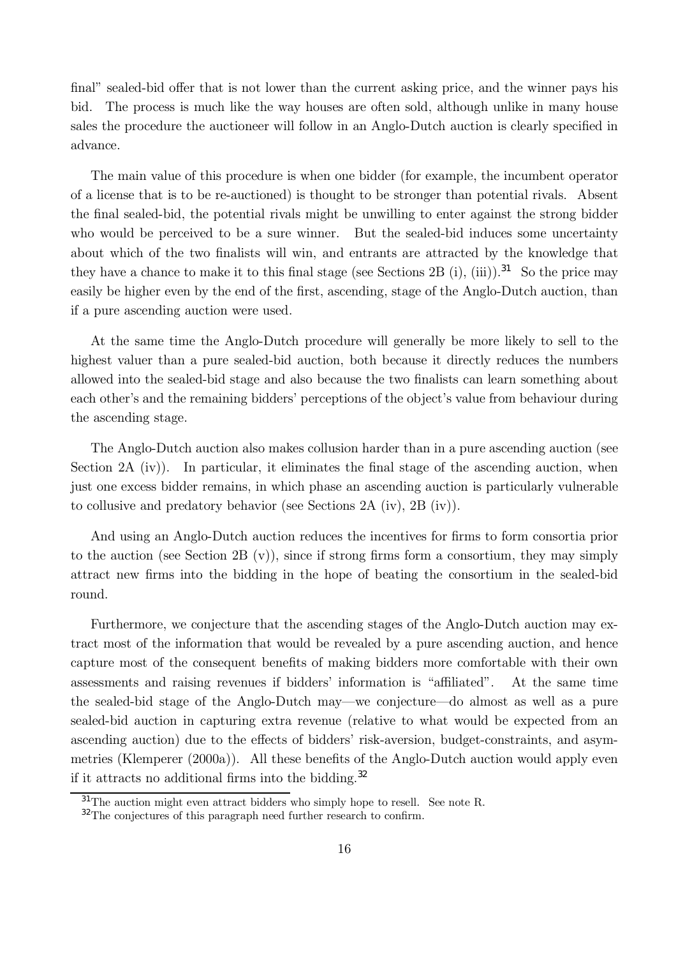final" sealed-bid offer that is not lower than the current asking price, and the winner pays his bid. The process is much like the way houses are often sold, although unlike in many house sales the procedure the auctioneer will follow in an Anglo-Dutch auction is clearly specified in advance.

The main value of this procedure is when one bidder (for example, the incumbent operator of a license that is to be re-auctioned) is thought to be stronger than potential rivals. Absent the final sealed-bid, the potential rivals might be unwilling to enter against the strong bidder who would be perceived to be a sure winner. But the sealed-bid induces some uncertainty about which of the two finalists will win, and entrants are attracted by the knowledge that they have a chance to make it to this final stage (see Sections 2B (i), (iii)).<sup>31</sup> So the price may easily be higher even by the end of the first, ascending, stage of the Anglo-Dutch auction, than if a pure ascending auction were used.

At the same time the Anglo-Dutch procedure will generally be more likely to sell to the highest valuer than a pure sealed-bid auction, both because it directly reduces the numbers allowed into the sealed-bid stage and also because the two finalists can learn something about each other's and the remaining bidders' perceptions of the object's value from behaviour during the ascending stage.

The Anglo-Dutch auction also makes collusion harder than in a pure ascending auction (see Section 2A (iv)). In particular, it eliminates the final stage of the ascending auction, when just one excess bidder remains, in which phase an ascending auction is particularly vulnerable to collusive and predatory behavior (see Sections 2A (iv), 2B (iv)).

And using an Anglo-Dutch auction reduces the incentives for firms to form consortia prior to the auction (see Section 2B (v)), since if strong firms form a consortium, they may simply attract new firms into the bidding in the hope of beating the consortium in the sealed-bid round.

Furthermore, we conjecture that the ascending stages of the Anglo-Dutch auction may extract most of the information that would be revealed by a pure ascending auction, and hence capture most of the consequent benefits of making bidders more comfortable with their own assessments and raising revenues if bidders' information is "affiliated". At the same time the sealed-bid stage of the Anglo-Dutch may—we conjecture—do almost as well as a pure sealed-bid auction in capturing extra revenue (relative to what would be expected from an ascending auction) due to the effects of bidders' risk-aversion, budget-constraints, and asymmetries (Klemperer (2000a)). All these benefits of the Anglo-Dutch auction would apply even if it attracts no additional firms into the bidding.<sup>32</sup>

<sup>&</sup>lt;sup>31</sup>The auction might even attract bidders who simply hope to resell. See note R.

<sup>&</sup>lt;sup>32</sup>The conjectures of this paragraph need further research to confirm.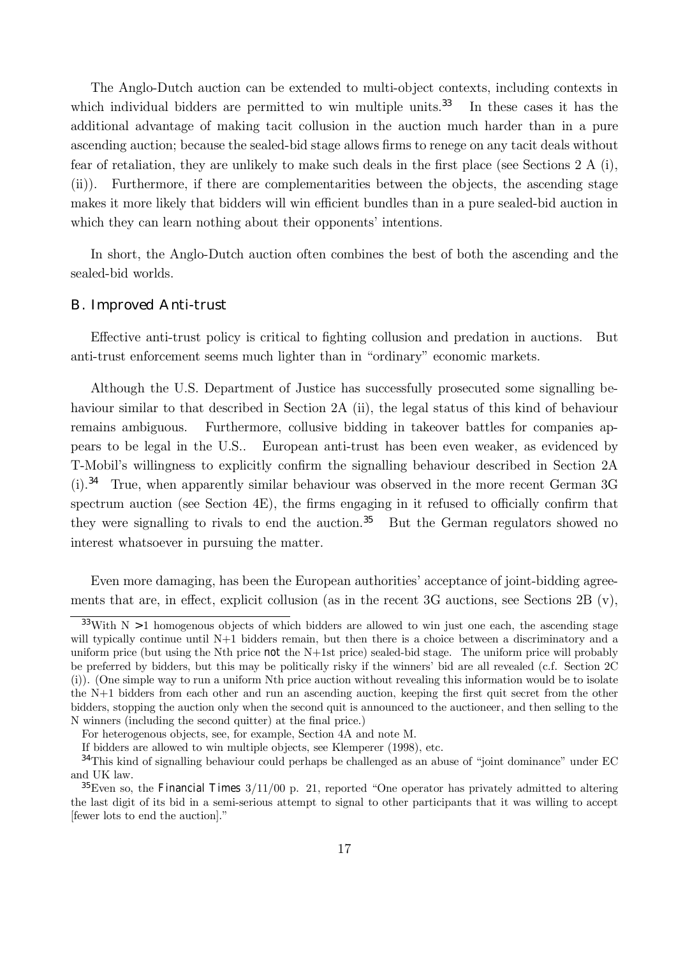The Anglo-Dutch auction can be extended to multi-object contexts, including contexts in which individual bidders are permitted to win multiple units.<sup>33</sup> In these cases it has the additional advantage of making tacit collusion in the auction much harder than in a pure ascending auction; because the sealed-bid stage allows firms to renege on any tacit deals without fear of retaliation, they are unlikely to make such deals in the first place (see Sections 2 A (i), (ii)). Furthermore, if there are complementarities between the objects, the ascending stage makes it more likely that bidders will win efficient bundles than in a pure sealed-bid auction in which they can learn nothing about their opponents' intentions.

In short, the Anglo-Dutch auction often combines the best of both the ascending and the sealed-bid worlds.

# B. Improved Anti-trust

Effective anti-trust policy is critical to fighting collusion and predation in auctions. But anti-trust enforcement seems much lighter than in "ordinary" economic markets.

Although the U.S. Department of Justice has successfully prosecuted some signalling behaviour similar to that described in Section 2A (ii), the legal status of this kind of behaviour remains ambiguous. Furthermore, collusive bidding in takeover battles for companies appears to be legal in the U.S.. European anti-trust has been even weaker, as evidenced by T-Mobil's willingness to explicitly confirm the signalling behaviour described in Section 2A (i).<sup>34</sup> True, when apparently similar behaviour was observed in the more recent German 3G spectrum auction (see Section 4E), the firms engaging in it refused to officially confirm that they were signalling to rivals to end the auction.<sup>35</sup> But the German regulators showed no interest whatsoever in pursuing the matter.

Even more damaging, has been the European authorities' acceptance of joint-bidding agreements that are, in effect, explicit collusion (as in the recent 3G auctions, see Sections 2B (v),

<sup>&</sup>lt;sup>33</sup>With N  $>1$  homogenous objects of which bidders are allowed to win just one each, the ascending stage will typically continue until N+1 bidders remain, but then there is a choice between a discriminatory and a uniform price (but using the Nth price not the N+1st price) sealed-bid stage. The uniform price will probably be preferred by bidders, but this may be politically risky if the winnersí bid are all revealed (c.f. Section 2C (i)). (One simple way to run a uniform Nth price auction without revealing this information would be to isolate the N+1 bidders from each other and run an ascending auction, keeping the first quit secret from the other bidders, stopping the auction only when the second quit is announced to the auctioneer, and then selling to the N winners (including the second quitter) at the final price.)

For heterogenous objects, see, for example, Section 4A and note M.

If bidders are allowed to win multiple objects, see Klemperer (1998), etc.

 $34$ This kind of signalling behaviour could perhaps be challenged as an abuse of "joint dominance" under EC and UK law.

 $35$ Even so, the Financial Times  $3/11/00$  p. 21, reported "One operator has privately admitted to altering the last digit of its bid in a semi-serious attempt to signal to other participants that it was willing to accept [fewer lots to end the auction]."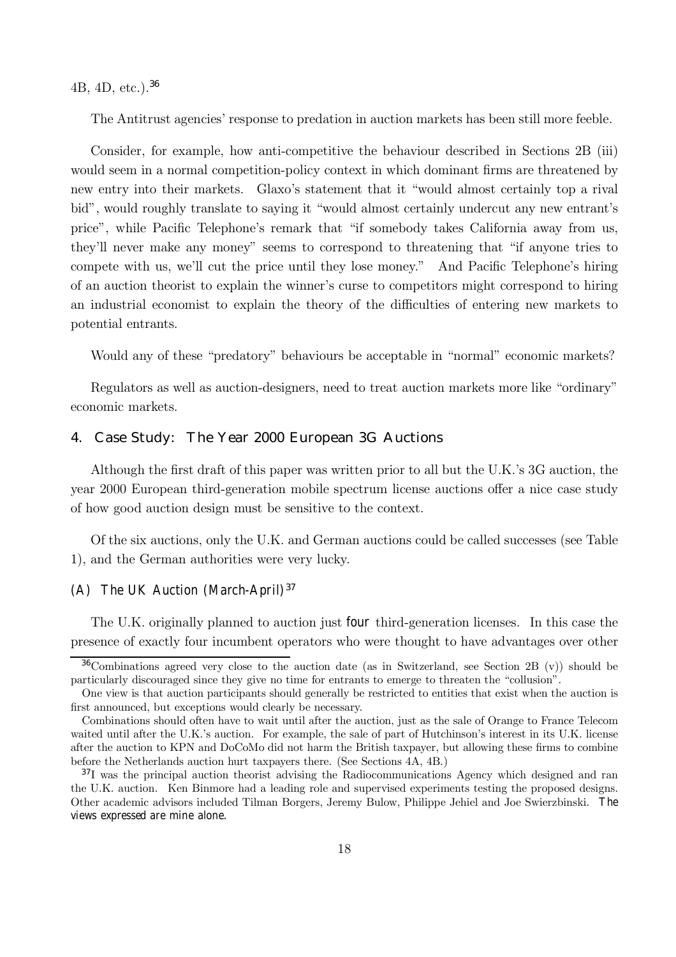4B, 4D, etc.).<sup>36</sup>

The Antitrust agencies' response to predation in auction markets has been still more feeble.

Consider, for example, how anti-competitive the behaviour described in Sections 2B (iii) would seem in a normal competition-policy context in which dominant firms are threatened by new entry into their markets. Glaxo's statement that it "would almost certainly top a rival bid", would roughly translate to saying it "would almost certainly undercut any new entrant's price", while Pacific Telephone's remark that "if somebody takes California away from us, they'll never make any money" seems to correspond to threatening that "if anyone tries to compete with us, we'll cut the price until they lose money." And Pacific Telephone's hiring of an auction theorist to explain the winner's curse to competitors might correspond to hiring an industrial economist to explain the theory of the difficulties of entering new markets to potential entrants.

Would any of these "predatory" behaviours be acceptable in "normal" economic markets?

Regulators as well as auction-designers, need to treat auction markets more like "ordinary" economic markets.

## 4. Case Study: The Year 2000 European 3G Auctions

Although the first draft of this paper was written prior to all but the U.K.'s 3G auction, the year 2000 European third-generation mobile spectrum license auctions offer a nice case study of how good auction design must be sensitive to the context.

Of the six auctions, only the U.K. and German auctions could be called successes (see Table 1), and the German authorities were very lucky.

# (A) The UK Auction (March-April) $37$

The U.K. originally planned to auction just four third-generation licenses. In this case the presence of exactly four incumbent operators who were thought to have advantages over other

<sup>36</sup>Combinations agreed very close to the auction date (as in Switzerland, see Section 2B (v)) should be particularly discouraged since they give no time for entrants to emerge to threaten the "collusion".

One view is that auction participants should generally be restricted to entities that exist when the auction is first announced, but exceptions would clearly be necessary.

Combinations should often have to wait until after the auction, just as the sale of Orange to France Telecom waited until after the U.K.'s auction. For example, the sale of part of Hutchinson's interest in its U.K. license after the auction to KPN and DoCoMo did not harm the British taxpayer, but allowing these firms to combine before the Netherlands auction hurt taxpayers there. (See Sections 4A, 4B.)

 $37I$  was the principal auction theorist advising the Radiocommunications Agency which designed and ran the U.K. auction. Ken Binmore had a leading role and supervised experiments testing the proposed designs. Other academic advisors included Tilman Borgers, Jeremy Bulow, Philippe Jehiel and Joe Swierzbinski. The views expressed are mine alone.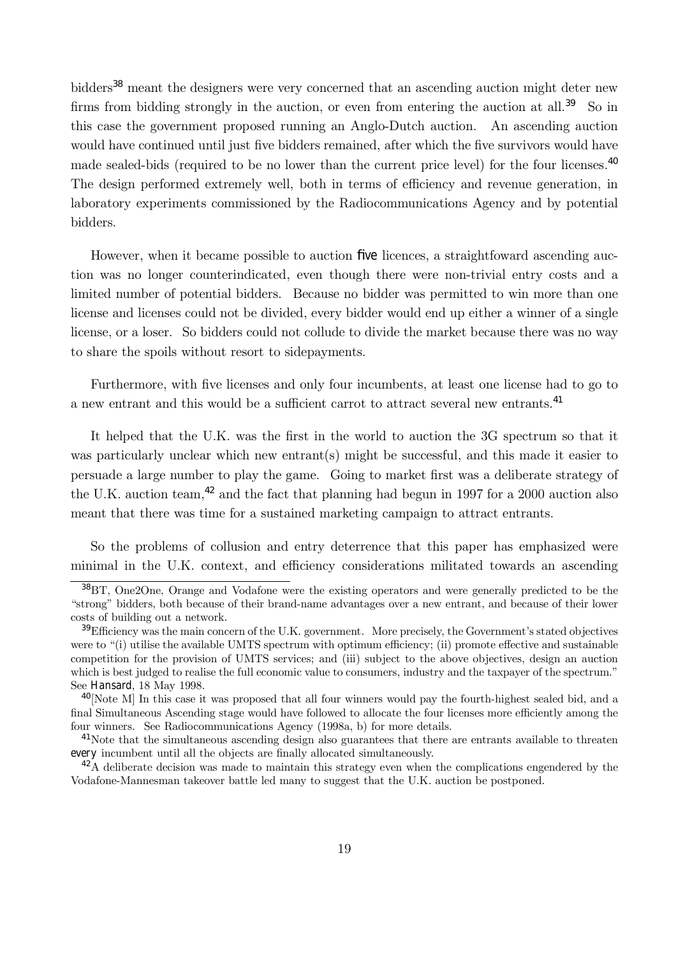bidders<sup>38</sup> meant the designers were very concerned that an ascending auction might deter new firms from bidding strongly in the auction, or even from entering the auction at all.<sup>39</sup> So in this case the government proposed running an Anglo-Dutch auction. An ascending auction would have continued until just five bidders remained, after which the five survivors would have made sealed-bids (required to be no lower than the current price level) for the four licenses.<sup>40</sup> The design performed extremely well, both in terms of efficiency and revenue generation, in laboratory experiments commissioned by the Radiocommunications Agency and by potential bidders.

However, when it became possible to auction five licences, a straightfoward ascending auction was no longer counterindicated, even though there were non-trivial entry costs and a limited number of potential bidders. Because no bidder was permitted to win more than one license and licenses could not be divided, every bidder would end up either a winner of a single license, or a loser. So bidders could not collude to divide the market because there was no way to share the spoils without resort to sidepayments.

Furthermore, with five licenses and only four incumbents, at least one license had to go to a new entrant and this would be a sufficient carrot to attract several new entrants.<sup>41</sup>

It helped that the U.K. was the first in the world to auction the 3G spectrum so that it was particularly unclear which new entrant(s) might be successful, and this made it easier to persuade a large number to play the game. Going to market first was a deliberate strategy of the U.K. auction team,  $42$  and the fact that planning had begun in 1997 for a 2000 auction also meant that there was time for a sustained marketing campaign to attract entrants.

So the problems of collusion and entry deterrence that this paper has emphasized were minimal in the U.K. context, and efficiency considerations militated towards an ascending

<sup>38</sup>BT, One2One, Orange and Vodafone were the existing operators and were generally predicted to be the ìstrongî bidders, both because of their brand-name advantages over a new entrant, and because of their lower costs of building out a network.

 $39$ Efficiency was the main concern of the U.K. government. More precisely, the Government's stated objectives were to "(i) utilise the available UMTS spectrum with optimum efficiency; (ii) promote effective and sustainable competition for the provision of UMTS services; and (iii) subject to the above objectives, design an auction which is best judged to realise the full economic value to consumers, industry and the taxpayer of the spectrum." See Hansard, 18 May 1998.

<sup>&</sup>lt;sup>40</sup>[Note M] In this case it was proposed that all four winners would pay the fourth-highest sealed bid, and a final Simultaneous Ascending stage would have followed to allocate the four licenses more efficiently among the four winners. See Radiocommunications Agency (1998a, b) for more details.

<sup>&</sup>lt;sup>41</sup>Note that the simultaneous ascending design also guarantees that there are entrants available to threaten every incumbent until all the objects are finally allocated simultaneously.

<sup>&</sup>lt;sup>42</sup>A deliberate decision was made to maintain this strategy even when the complications engendered by the Vodafone-Mannesman takeover battle led many to suggest that the U.K. auction be postponed.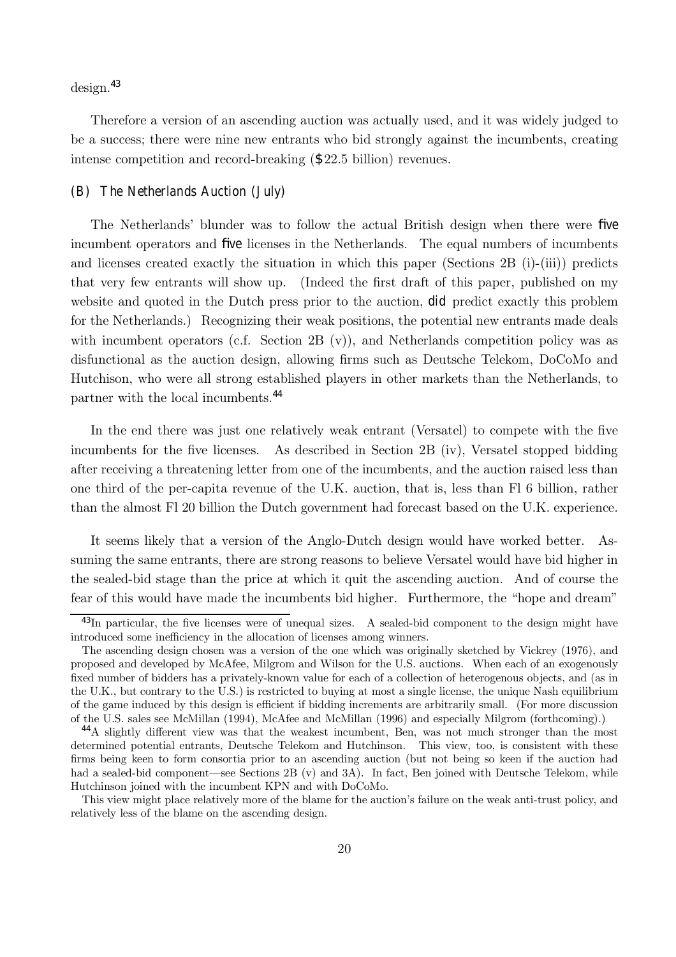$design.<sup>43</sup>$ 

Therefore a version of an ascending auction was actually used, and it was widely judged to be a success; there were nine new entrants who bid strongly against the incumbents, creating intense competition and record-breaking (\$22.5 billion) revenues.

# (B) The Netherlands Auction (July)

The Netherlandsí blunder was to follow the actual British design when there were five incumbent operators and five licenses in the Netherlands. The equal numbers of incumbents and licenses created exactly the situation in which this paper (Sections  $2B$  (i)-(iii)) predicts that very few entrants will show up. (Indeed the first draft of this paper, published on my website and quoted in the Dutch press prior to the auction, did predict exactly this problem for the Netherlands.) Recognizing their weak positions, the potential new entrants made deals with incumbent operators (c.f. Section  $2B(v)$ ), and Netherlands competition policy was as disfunctional as the auction design, allowing firms such as Deutsche Telekom, DoCoMo and Hutchison, who were all strong established players in other markets than the Netherlands, to partner with the local incumbents.<sup>44</sup>

In the end there was just one relatively weak entrant (Versatel) to compete with the five incumbents for the five licenses. As described in Section 2B (iv), Versatel stopped bidding after receiving a threatening letter from one of the incumbents, and the auction raised less than one third of the per-capita revenue of the U.K. auction, that is, less than Fl 6 billion, rather than the almost Fl 20 billion the Dutch government had forecast based on the U.K. experience.

It seems likely that a version of the Anglo-Dutch design would have worked better. Assuming the same entrants, there are strong reasons to believe Versatel would have bid higher in the sealed-bid stage than the price at which it quit the ascending auction. And of course the fear of this would have made the incumbents bid higher. Furthermore, the "hope and dream"

<sup>&</sup>lt;sup>43</sup>In particular, the five licenses were of unequal sizes. A sealed-bid component to the design might have introduced some inefficiency in the allocation of licenses among winners.

The ascending design chosen was a version of the one which was originally sketched by Vickrey (1976), and proposed and developed by McAfee, Milgrom and Wilson for the U.S. auctions. When each of an exogenously fixed number of bidders has a privately-known value for each of a collection of heterogenous objects, and (as in the U.K., but contrary to the U.S.) is restricted to buying at most a single license, the unique Nash equilibrium of the game induced by this design is efficient if bidding increments are arbitrarily small. (For more discussion of the U.S. sales see McMillan (1994), McAfee and McMillan (1996) and especially Milgrom (forthcoming).)

<sup>44</sup>A slightly different view was that the weakest incumbent, Ben, was not much stronger than the most determined potential entrants, Deutsche Telekom and Hutchinson. This view, too, is consistent with these firms being keen to form consortia prior to an ascending auction (but not being so keen if the auction had had a sealed-bid component—see Sections  $2B (v)$  and  $3A$ ). In fact, Ben joined with Deutsche Telekom, while Hutchinson joined with the incumbent KPN and with DoCoMo.

This view might place relatively more of the blame for the auction's failure on the weak anti-trust policy, and relatively less of the blame on the ascending design.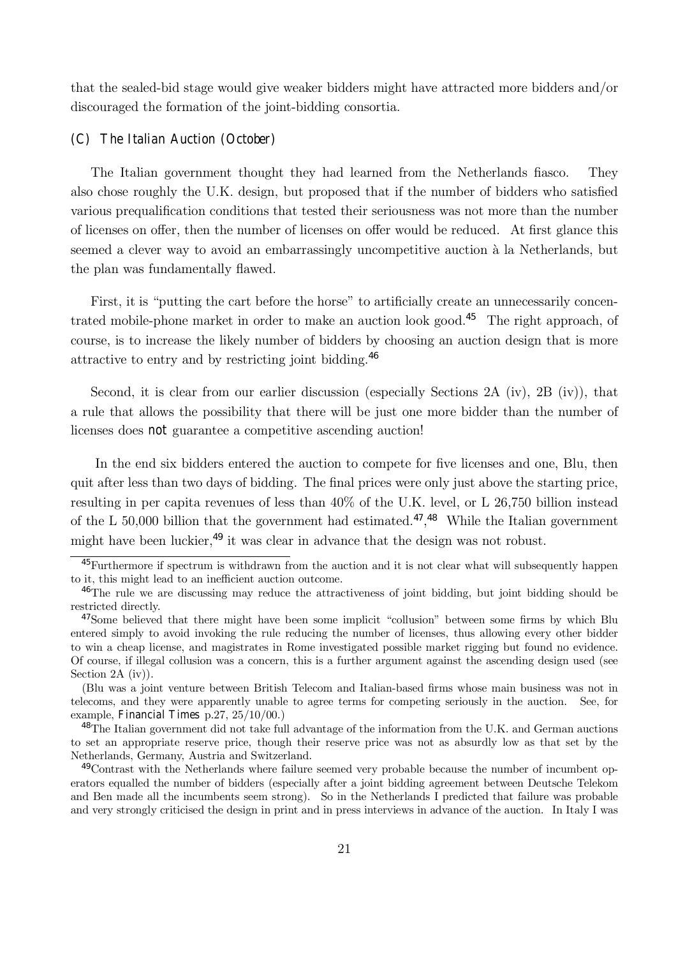that the sealed-bid stage would give weaker bidders might have attracted more bidders and/or discouraged the formation of the joint-bidding consortia.

## (C) The Italian Auction (October)

The Italian government thought they had learned from the Netherlands fiasco. They also chose roughly the U.K. design, but proposed that if the number of bidders who satisfied various prequalification conditions that tested their seriousness was not more than the number of licenses on offer, then the number of licenses on offer would be reduced. At first glance this seemed a clever way to avoid an embarrassingly uncompetitive auction à la Netherlands, but the plan was fundamentally flawed.

First, it is "putting the cart before the horse" to artificially create an unnecessarily concentrated mobile-phone market in order to make an auction look good.<sup>45</sup> The right approach, of course, is to increase the likely number of bidders by choosing an auction design that is more attractive to entry and by restricting joint bidding.<sup>46</sup>

Second, it is clear from our earlier discussion (especially Sections 2A (iv), 2B (iv)), that a rule that allows the possibility that there will be just one more bidder than the number of licenses does not guarantee a competitive ascending auction!

In the end six bidders entered the auction to compete for five licenses and one, Blu, then quit after less than two days of bidding. The final prices were only just above the starting price, resulting in per capita revenues of less than 40% of the U.K. level, or L 26,750 billion instead of the L 50,000 billion that the government had estimated.<sup>47</sup>,<sup>48</sup> While the Italian government might have been luckier,  $49$  it was clear in advance that the design was not robust.

<sup>45</sup>Furthermore if spectrum is withdrawn from the auction and it is not clear what will subsequently happen to it, this might lead to an inefficient auction outcome.

<sup>46</sup>The rule we are discussing may reduce the attractiveness of joint bidding, but joint bidding should be restricted directly.

 $47$ Some believed that there might have been some implicit "collusion" between some firms by which Blu entered simply to avoid invoking the rule reducing the number of licenses, thus allowing every other bidder to win a cheap license, and magistrates in Rome investigated possible market rigging but found no evidence. Of course, if illegal collusion was a concern, this is a further argument against the ascending design used (see Section 2A (iv)).

<sup>(</sup>Blu was a joint venture between British Telecom and Italian-based firms whose main business was not in telecoms, and they were apparently unable to agree terms for competing seriously in the auction. See, for example, Financial Times p.27, 25/10/00.)

<sup>&</sup>lt;sup>48</sup>The Italian government did not take full advantage of the information from the U.K. and German auctions to set an appropriate reserve price, though their reserve price was not as absurdly low as that set by the Netherlands, Germany, Austria and Switzerland.

<sup>49</sup>Contrast with the Netherlands where failure seemed very probable because the number of incumbent operators equalled the number of bidders (especially after a joint bidding agreement between Deutsche Telekom and Ben made all the incumbents seem strong). So in the Netherlands I predicted that failure was probable and very strongly criticised the design in print and in press interviews in advance of the auction. In Italy I was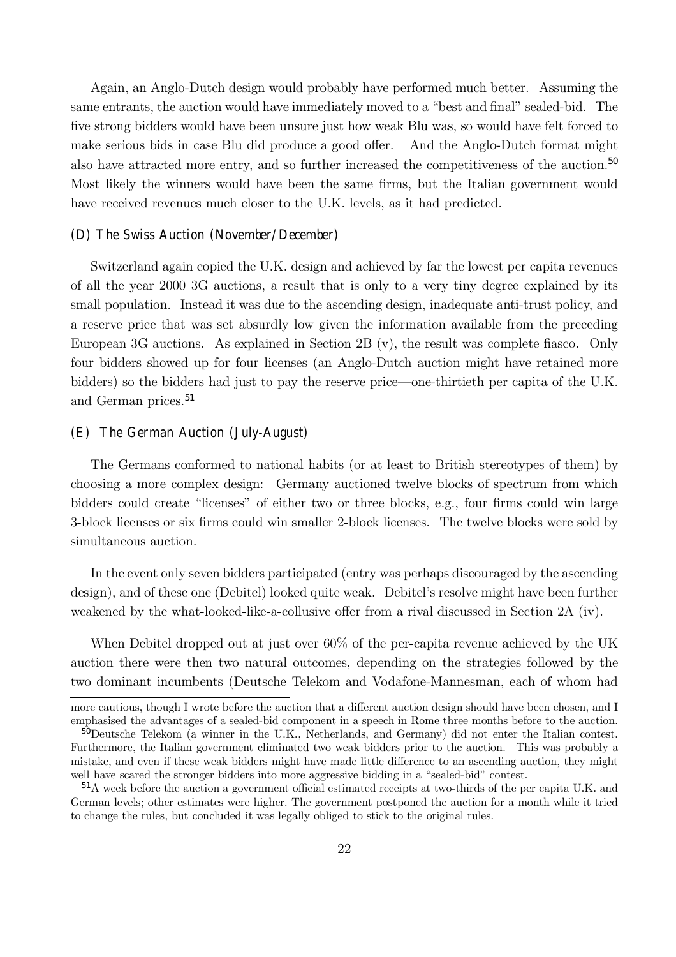Again, an Anglo-Dutch design would probably have performed much better. Assuming the same entrants, the auction would have immediately moved to a "best and final" sealed-bid. The five strong bidders would have been unsure just how weak Blu was, so would have felt forced to make serious bids in case Blu did produce a good offer. And the Anglo-Dutch format might also have attracted more entry, and so further increased the competitiveness of the auction.<sup>50</sup> Most likely the winners would have been the same firms, but the Italian government would have received revenues much closer to the U.K. levels, as it had predicted.

#### (D) The Swiss Auction (November/December)

Switzerland again copied the U.K. design and achieved by far the lowest per capita revenues of all the year 2000 3G auctions, a result that is only to a very tiny degree explained by its small population. Instead it was due to the ascending design, inadequate anti-trust policy, and a reserve price that was set absurdly low given the information available from the preceding European 3G auctions. As explained in Section 2B (v), the result was complete fiasco. Only four bidders showed up for four licenses (an Anglo-Dutch auction might have retained more bidders) so the bidders had just to pay the reserve price—one-thirtieth per capita of the U.K. and German prices.<sup>51</sup>

# (E) The German Auction (July-August)

The Germans conformed to national habits (or at least to British stereotypes of them) by choosing a more complex design: Germany auctioned twelve blocks of spectrum from which bidders could create "licenses" of either two or three blocks, e.g., four firms could win large 3-block licenses or six firms could win smaller 2-block licenses. The twelve blocks were sold by simultaneous auction.

In the event only seven bidders participated (entry was perhaps discouraged by the ascending design), and of these one (Debitel) looked quite weak. Debitel's resolve might have been further weakened by the what-looked-like-a-collusive offer from a rival discussed in Section 2A (iv).

When Debitel dropped out at just over 60% of the per-capita revenue achieved by the UK auction there were then two natural outcomes, depending on the strategies followed by the two dominant incumbents (Deutsche Telekom and Vodafone-Mannesman, each of whom had

more cautious, though I wrote before the auction that a different auction design should have been chosen, and I emphasised the advantages of a sealed-bid component in a speech in Rome three months before to the auction.

<sup>50</sup>Deutsche Telekom (a winner in the U.K., Netherlands, and Germany) did not enter the Italian contest. Furthermore, the Italian government eliminated two weak bidders prior to the auction. This was probably a mistake, and even if these weak bidders might have made little difference to an ascending auction, they might well have scared the stronger bidders into more aggressive bidding in a "sealed-bid" contest.

<sup>51</sup>A week before the auction a government official estimated receipts at two-thirds of the per capita U.K. and German levels; other estimates were higher. The government postponed the auction for a month while it tried to change the rules, but concluded it was legally obliged to stick to the original rules.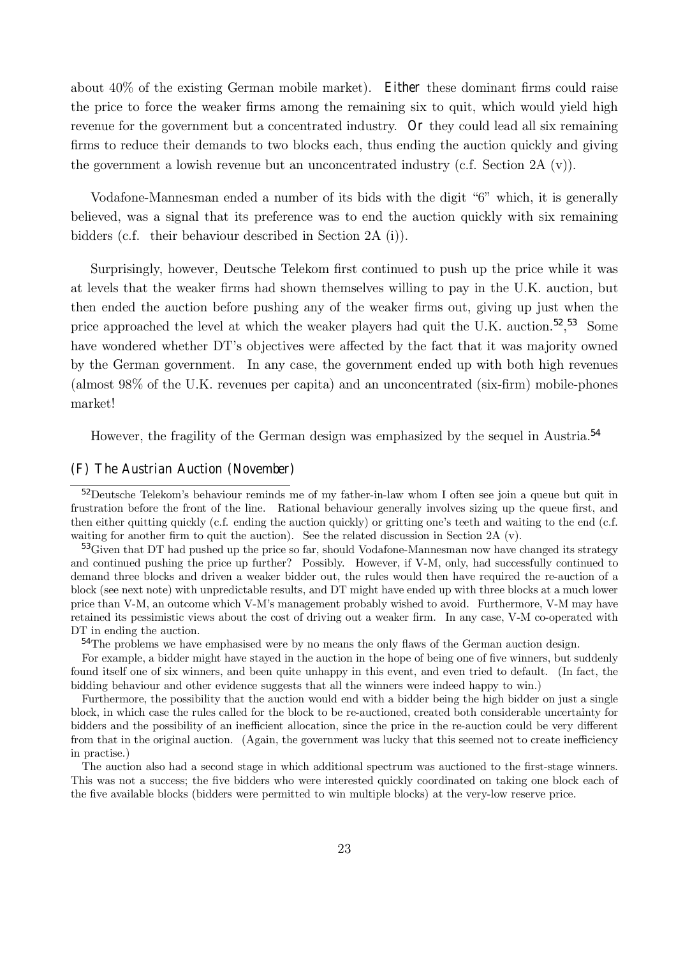about 40% of the existing German mobile market). Either these dominant firms could raise the price to force the weaker firms among the remaining six to quit, which would yield high revenue for the government but a concentrated industry. Or they could lead all six remaining firms to reduce their demands to two blocks each, thus ending the auction quickly and giving the government a lowish revenue but an unconcentrated industry (c.f. Section 2A (v)).

Vodafone-Mannesman ended a number of its bids with the digit "6" which, it is generally believed, was a signal that its preference was to end the auction quickly with six remaining bidders (c.f. their behaviour described in Section 2A (i)).

Surprisingly, however, Deutsche Telekom first continued to push up the price while it was at levels that the weaker firms had shown themselves willing to pay in the U.K. auction, but then ended the auction before pushing any of the weaker firms out, giving up just when the price approached the level at which the weaker players had quit the U.K. auction.<sup>52</sup>,<sup>53</sup> Some have wondered whether DT's objectives were affected by the fact that it was majority owned by the German government. In any case, the government ended up with both high revenues (almost 98% of the U.K. revenues per capita) and an unconcentrated (six-firm) mobile-phones market!

However, the fragility of the German design was emphasized by the sequel in Austria.<sup>54</sup>

#### (F) The Austrian Auction (November)

<sup>&</sup>lt;sup>52</sup>Deutsche Telekom's behaviour reminds me of my father-in-law whom I often see join a queue but quit in frustration before the front of the line. Rational behaviour generally involves sizing up the queue first, and then either quitting quickly (c.f. ending the auction quickly) or gritting one's teeth and waiting to the end (c.f. waiting for another firm to quit the auction). See the related discussion in Section 2A  $(v)$ .

<sup>53</sup>Given that DT had pushed up the price so far, should Vodafone-Mannesman now have changed its strategy and continued pushing the price up further? Possibly. However, if V-M, only, had successfully continued to demand three blocks and driven a weaker bidder out, the rules would then have required the re-auction of a block (see next note) with unpredictable results, and DT might have ended up with three blocks at a much lower price than V-M, an outcome which V-Mís management probably wished to avoid. Furthermore, V-M may have retained its pessimistic views about the cost of driving out a weaker firm. In any case, V-M co-operated with DT in ending the auction.

<sup>&</sup>lt;sup>54</sup>The problems we have emphasised were by no means the only flaws of the German auction design.

For example, a bidder might have stayed in the auction in the hope of being one of five winners, but suddenly found itself one of six winners, and been quite unhappy in this event, and even tried to default. (In fact, the bidding behaviour and other evidence suggests that all the winners were indeed happy to win.)

Furthermore, the possibility that the auction would end with a bidder being the high bidder on just a single block, in which case the rules called for the block to be re-auctioned, created both considerable uncertainty for bidders and the possibility of an inefficient allocation, since the price in the re-auction could be very different from that in the original auction. (Again, the government was lucky that this seemed not to create inefficiency in practise.)

The auction also had a second stage in which additional spectrum was auctioned to the first-stage winners. This was not a success; the five bidders who were interested quickly coordinated on taking one block each of the five available blocks (bidders were permitted to win multiple blocks) at the very-low reserve price.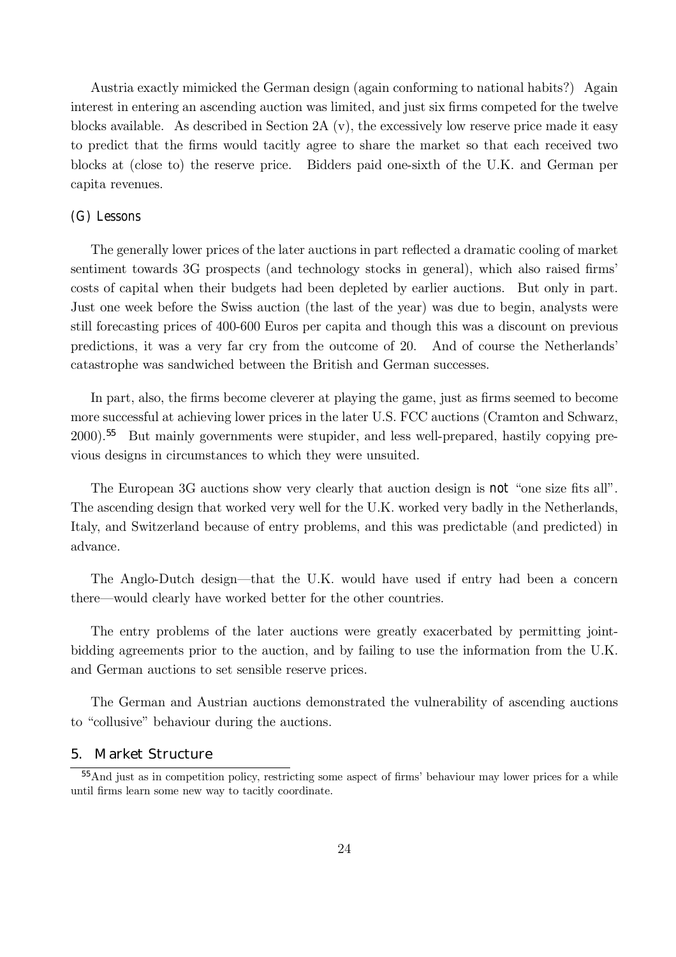Austria exactly mimicked the German design (again conforming to national habits?) Again interest in entering an ascending auction was limited, and just six firms competed for the twelve blocks available. As described in Section 2A (v), the excessively low reserve price made it easy to predict that the firms would tacitly agree to share the market so that each received two blocks at (close to) the reserve price. Bidders paid one-sixth of the U.K. and German per capita revenues.

# (G) Lessons

The generally lower prices of the later auctions in part reflected a dramatic cooling of market sentiment towards 3G prospects (and technology stocks in general), which also raised firms costs of capital when their budgets had been depleted by earlier auctions. But only in part. Just one week before the Swiss auction (the last of the year) was due to begin, analysts were still forecasting prices of 400-600 Euros per capita and though this was a discount on previous predictions, it was a very far cry from the outcome of 20. And of course the Netherlands catastrophe was sandwiched between the British and German successes.

In part, also, the firms become cleverer at playing the game, just as firms seemed to become more successful at achieving lower prices in the later U.S. FCC auctions (Cramton and Schwarz, 2000).<sup>55</sup> But mainly governments were stupider, and less well-prepared, hastily copying previous designs in circumstances to which they were unsuited.

The European 3G auctions show very clearly that auction design is not "one size fits all". The ascending design that worked very well for the U.K. worked very badly in the Netherlands, Italy, and Switzerland because of entry problems, and this was predictable (and predicted) in advance.

The Anglo-Dutch design—that the U.K. would have used if entry had been a concern there—would clearly have worked better for the other countries.

The entry problems of the later auctions were greatly exacerbated by permitting jointbidding agreements prior to the auction, and by failing to use the information from the U.K. and German auctions to set sensible reserve prices.

The German and Austrian auctions demonstrated the vulnerability of ascending auctions to "collusive" behaviour during the auctions.

### 5. Market Structure

<sup>&</sup>lt;sup>55</sup>And just as in competition policy, restricting some aspect of firms' behaviour may lower prices for a while until firms learn some new way to tacitly coordinate.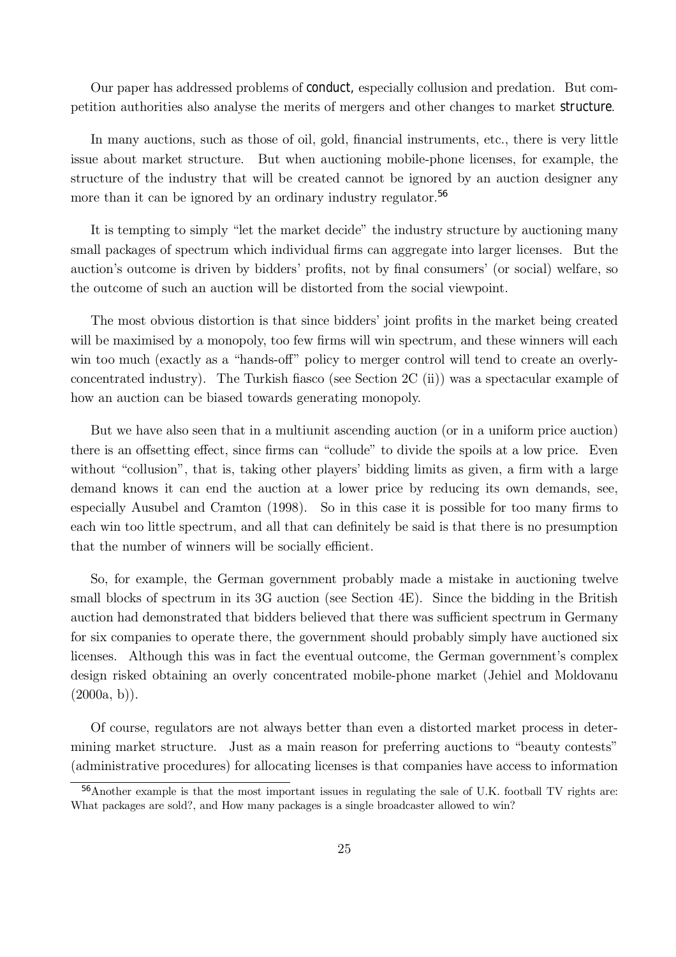Our paper has addressed problems of conduct, especially collusion and predation. But competition authorities also analyse the merits of mergers and other changes to market structure.

In many auctions, such as those of oil, gold, financial instruments, etc., there is very little issue about market structure. But when auctioning mobile-phone licenses, for example, the structure of the industry that will be created cannot be ignored by an auction designer any more than it can be ignored by an ordinary industry regulator.<sup>56</sup>

It is tempting to simply "let the market decide" the industry structure by auctioning many small packages of spectrum which individual firms can aggregate into larger licenses. But the auction's outcome is driven by bidders' profits, not by final consumers' (or social) welfare, so the outcome of such an auction will be distorted from the social viewpoint.

The most obvious distortion is that since bidders' joint profits in the market being created will be maximised by a monopoly, too few firms will win spectrum, and these winners will each win too much (exactly as a "hands-off" policy to merger control will tend to create an overlyconcentrated industry). The Turkish fiasco (see Section 2C (ii)) was a spectacular example of how an auction can be biased towards generating monopoly.

But we have also seen that in a multiunit ascending auction (or in a uniform price auction) there is an offsetting effect, since firms can "collude" to divide the spoils at a low price. Even without "collusion", that is, taking other players' bidding limits as given, a firm with a large demand knows it can end the auction at a lower price by reducing its own demands, see, especially Ausubel and Cramton (1998). So in this case it is possible for too many firms to each win too little spectrum, and all that can definitely be said is that there is no presumption that the number of winners will be socially efficient.

So, for example, the German government probably made a mistake in auctioning twelve small blocks of spectrum in its 3G auction (see Section 4E). Since the bidding in the British auction had demonstrated that bidders believed that there was sufficient spectrum in Germany for six companies to operate there, the government should probably simply have auctioned six licenses. Although this was in fact the eventual outcome, the German government's complex design risked obtaining an overly concentrated mobile-phone market (Jehiel and Moldovanu  $(2000a, b)$ .

Of course, regulators are not always better than even a distorted market process in determining market structure. Just as a main reason for preferring auctions to "beauty contests" (administrative procedures) for allocating licenses is that companies have access to information

<sup>56</sup>Another example is that the most important issues in regulating the sale of U.K. football TV rights are: What packages are sold?, and How many packages is a single broadcaster allowed to win?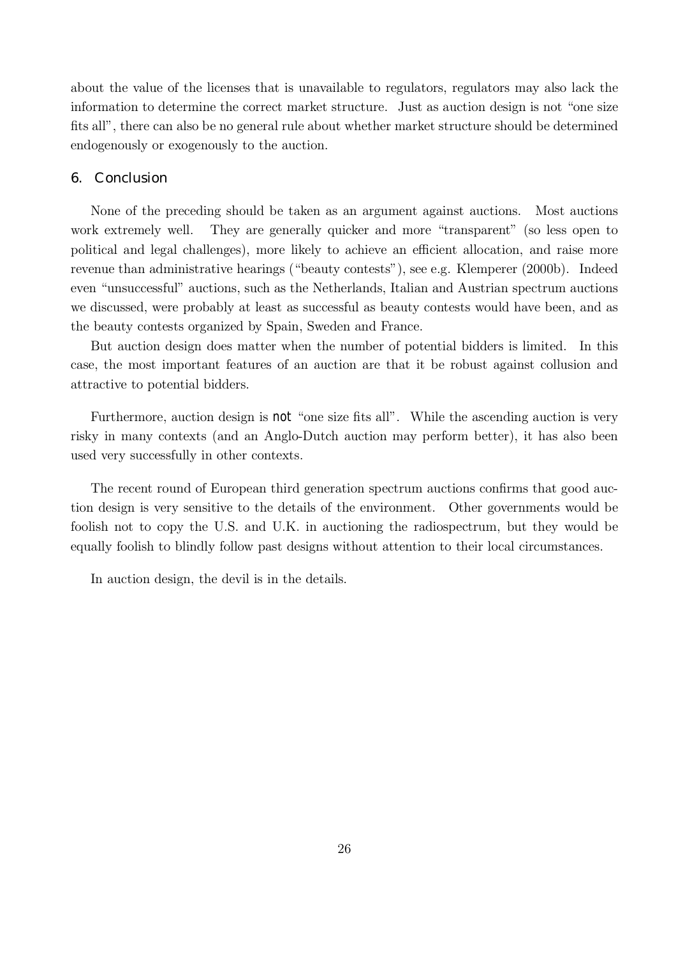about the value of the licenses that is unavailable to regulators, regulators may also lack the information to determine the correct market structure. Just as auction design is not "one size fits all", there can also be no general rule about whether market structure should be determined endogenously or exogenously to the auction.

#### 6. Conclusion

None of the preceding should be taken as an argument against auctions. Most auctions work extremely well. They are generally quicker and more "transparent" (so less open to political and legal challenges), more likely to achieve an efficient allocation, and raise more revenue than administrative hearings ("beauty contests"), see e.g. Klemperer (2000b). Indeed even "unsuccessful" auctions, such as the Netherlands, Italian and Austrian spectrum auctions we discussed, were probably at least as successful as beauty contests would have been, and as the beauty contests organized by Spain, Sweden and France.

But auction design does matter when the number of potential bidders is limited. In this case, the most important features of an auction are that it be robust against collusion and attractive to potential bidders.

Furthermore, auction design is not "one size fits all". While the ascending auction is very risky in many contexts (and an Anglo-Dutch auction may perform better), it has also been used very successfully in other contexts.

The recent round of European third generation spectrum auctions confirms that good auction design is very sensitive to the details of the environment. Other governments would be foolish not to copy the U.S. and U.K. in auctioning the radiospectrum, but they would be equally foolish to blindly follow past designs without attention to their local circumstances.

In auction design, the devil is in the details.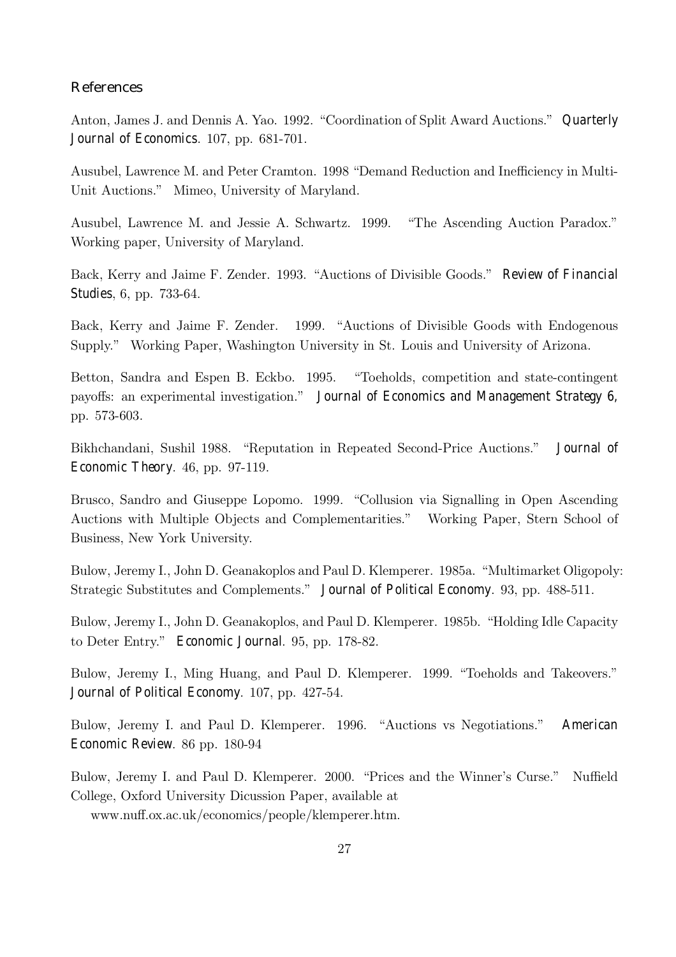# References

Anton, James J. and Dennis A. Yao. 1992. "Coordination of Split Award Auctions." Quarterly Journal of Economics. 107, pp. 681-701.

Ausubel, Lawrence M. and Peter Cramton. 1998 "Demand Reduction and Inefficiency in Multi-Unit Auctions." Mimeo, University of Maryland.

Ausubel, Lawrence M. and Jessie A. Schwartz. 1999. "The Ascending Auction Paradox." Working paper, University of Maryland.

Back, Kerry and Jaime F. Zender. 1993. "Auctions of Divisible Goods." Review of Financial Studies, 6, pp. 733-64.

Back, Kerry and Jaime F. Zender. 1999. "Auctions of Divisible Goods with Endogenous Supply." Working Paper, Washington University in St. Louis and University of Arizona.

Betton, Sandra and Espen B. Eckbo. 1995. "Toeholds, competition and state-contingent payoffs: an experimental investigation." Journal of Economics and Management Strategy 6, pp. 573-603.

Bikhchandani, Sushil 1988. "Reputation in Repeated Second-Price Auctions." Journal of Economic Theory. 46, pp. 97-119.

Brusco, Sandro and Giuseppe Lopomo. 1999. "Collusion via Signalling in Open Ascending Auctions with Multiple Objects and Complementarities.î Working Paper, Stern School of Business, New York University.

Bulow, Jeremy I., John D. Geanakoplos and Paul D. Klemperer. 1985a. "Multimarket Oligopoly: Strategic Substitutes and Complements." Journal of Political Economy. 93, pp. 488-511.

Bulow, Jeremy I., John D. Geanakoplos, and Paul D. Klemperer. 1985b. "Holding Idle Capacity to Deter Entry." Economic Journal. 95, pp. 178-82.

Bulow, Jeremy I., Ming Huang, and Paul D. Klemperer. 1999. "Toeholds and Takeovers." Journal of Political Economy. 107, pp. 427-54.

Bulow, Jeremy I. and Paul D. Klemperer. 1996. "Auctions vs Negotiations." American Economic Review. 86 pp. 180-94

Bulow, Jeremy I. and Paul D. Klemperer. 2000. "Prices and the Winner's Curse." Nuffield College, Oxford University Dicussion Paper, available at

www.nuff.ox.ac.uk/economics/people/klemperer.htm.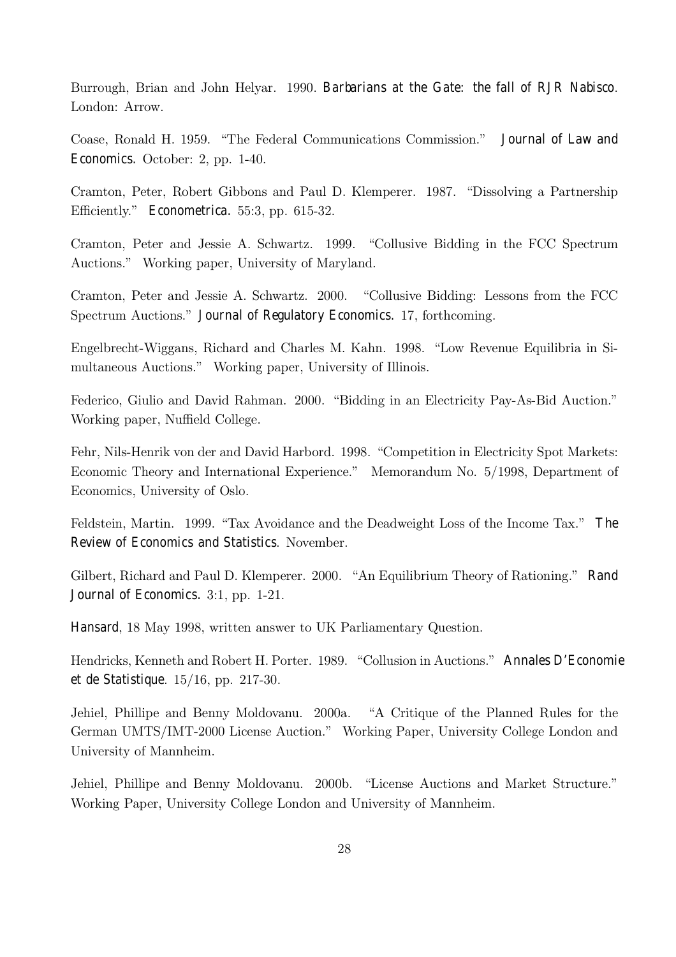Burrough, Brian and John Helyar. 1990. Barbarians at the Gate: the fall of RJR Nabisco. London: Arrow.

Coase, Ronald H. 1959. "The Federal Communications Commission." Journal of Law and Economics. October: 2, pp. 1-40.

Cramton, Peter, Robert Gibbons and Paul D. Klemperer. 1987. "Dissolving a Partnership Efficiently." Econometrica. 55:3, pp. 615-32.

Cramton, Peter and Jessie A. Schwartz. 1999. "Collusive Bidding in the FCC Spectrum Auctions." Working paper, University of Maryland.

Cramton, Peter and Jessie A. Schwartz.  $2000$ . "Collusive Bidding: Lessons from the FCC Spectrum Auctions.î Journal of Regulatory Economics. 17, forthcoming.

Engelbrecht-Wiggans, Richard and Charles M. Kahn. 1998. "Low Revenue Equilibria in Simultaneous Auctions." Working paper, University of Illinois.

Federico, Giulio and David Rahman. 2000. "Bidding in an Electricity Pay-As-Bid Auction." Working paper, Nuffield College.

Fehr, Nils-Henrik von der and David Harbord. 1998. "Competition in Electricity Spot Markets: Economic Theory and International Experience." Memorandum No. 5/1998, Department of Economics, University of Oslo.

Feldstein, Martin. 1999. "Tax Avoidance and the Deadweight Loss of the Income Tax." The Review of Economics and Statistics. November.

Gilbert, Richard and Paul D. Klemperer. 2000. "An Equilibrium Theory of Rationing." Rand Journal of Economics. 3:1, pp. 1-21.

Hansard, 18 May 1998, written answer to UK Parliamentary Question.

Hendricks, Kenneth and Robert H. Porter. 1989. "Collusion in Auctions." Annales D'Economie et de Statistique. 15/16, pp. 217-30.

Jehiel, Phillipe and Benny Moldovanu. 2000a. "A Critique of the Planned Rules for the German UMTS/IMT-2000 License Auction." Working Paper, University College London and University of Mannheim.

Jehiel, Phillipe and Benny Moldovanu. 2000b. "License Auctions and Market Structure." Working Paper, University College London and University of Mannheim.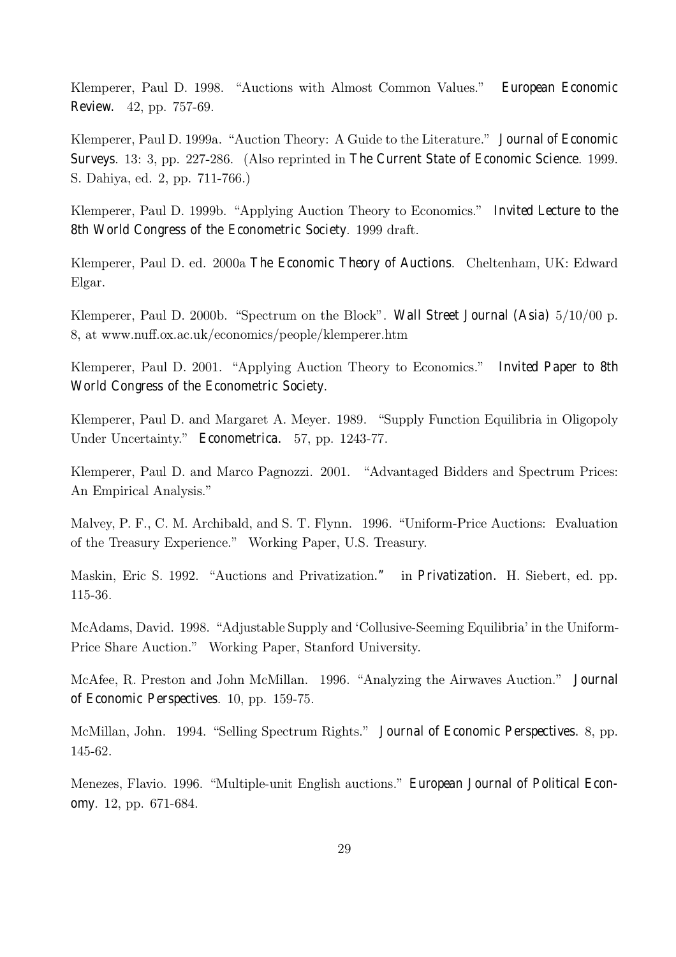Klemperer, Paul D. 1998. "Auctions with Almost Common Values." European Economic Review. 42, pp. 757-69.

Klemperer, Paul D. 1999a. "Auction Theory: A Guide to the Literature." Journal of Economic Surveys. 13: 3, pp. 227-286. (Also reprinted in The Current State of Economic Science. 1999. S. Dahiya, ed. 2, pp. 711-766.)

Klemperer, Paul D. 1999b. "Applying Auction Theory to Economics." Invited Lecture to the 8th World Congress of the Econometric Society. 1999 draft.

Klemperer, Paul D. ed. 2000a The Economic Theory of Auctions. Cheltenham, UK: Edward Elgar.

Klemperer, Paul D. 2000b. "Spectrum on the Block". Wall Street Journal (Asia)  $5/10/00$  p. 8, at www.nuff.ox.ac.uk/economics/people/klemperer.htm

Klemperer, Paul D. 2001. "Applying Auction Theory to Economics." Invited Paper to 8th World Congress of the Econometric Society.

Klemperer, Paul D. and Margaret A. Meyer. 1989. "Supply Function Equilibria in Oligopoly Under Uncertainty." Econometrica. 57, pp. 1243-77.

Klemperer, Paul D. and Marco Pagnozzi. 2001. "Advantaged Bidders and Spectrum Prices: An Empirical Analysis."

Malvey, P. F., C. M. Archibald, and S. T. Flynn. 1996. "Uniform-Price Auctions: Evaluation of the Treasury Experience.î Working Paper, U.S. Treasury.

Maskin, Eric S. 1992. "Auctions and Privatization." in Privatization. H. Siebert, ed. pp. 115-36.

McAdams, David. 1998. "Adjustable Supply and 'Collusive-Seeming Equilibria' in the Uniform-Price Share Auction." Working Paper, Stanford University.

McAfee, R. Preston and John McMillan. 1996. "Analyzing the Airwaves Auction." Journal of Economic Perspectives. 10, pp. 159-75.

McMillan, John. 1994. "Selling Spectrum Rights." Journal of Economic Perspectives. 8, pp. 145-62.

Menezes, Flavio. 1996. "Multiple-unit English auctions." European Journal of Political Economy. 12, pp. 671-684.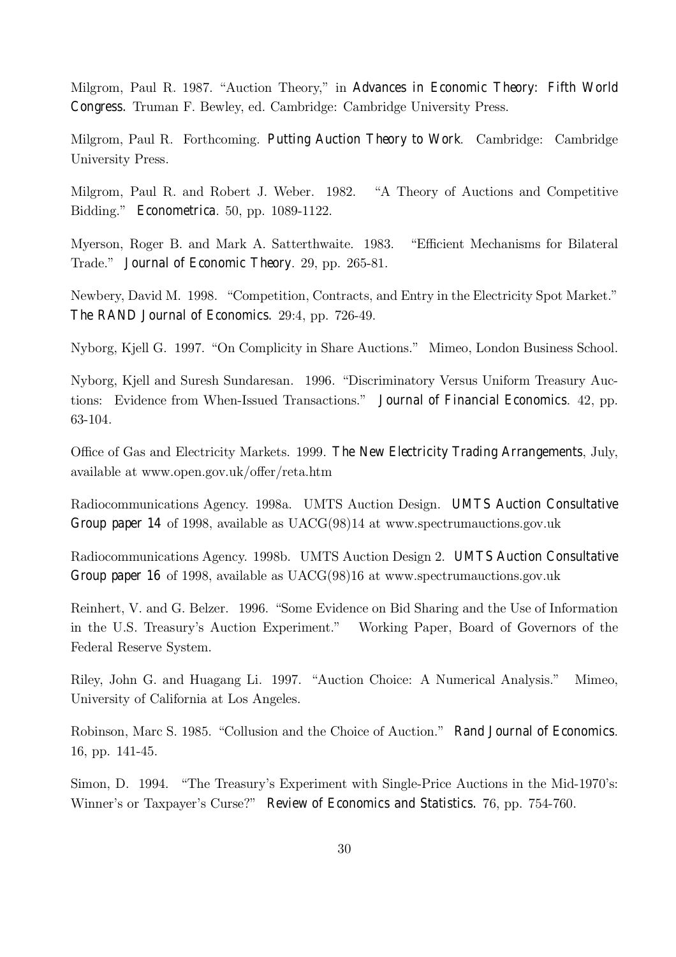Milgrom, Paul R. 1987. "Auction Theory," in Advances in Economic Theory: Fifth World Congress. Truman F. Bewley, ed. Cambridge: Cambridge University Press.

Milgrom, Paul R. Forthcoming. Putting Auction Theory to Work. Cambridge: Cambridge University Press.

Milgrom, Paul R. and Robert J. Weber. 1982. "A Theory of Auctions and Competitive Bidding." Econometrica. 50, pp. 1089-1122.

Myerson, Roger B. and Mark A. Satterthwaite. 1983. "Efficient Mechanisms for Bilateral Trade." Journal of Economic Theory. 29, pp. 265-81.

Newbery, David M. 1998. "Competition, Contracts, and Entry in the Electricity Spot Market." The RAND Journal of Economics. 29:4, pp. 726-49.

Nyborg, Kjell G. 1997. "On Complicity in Share Auctions." Mimeo, London Business School.

Nyborg, Kjell and Suresh Sundaresan. 1996. "Discriminatory Versus Uniform Treasury Auctions: Evidence from When-Issued Transactions." Journal of Financial Economics. 42, pp. 63-104.

Office of Gas and Electricity Markets. 1999. The New Electricity Trading Arrangements, July, available at www.open.gov.uk/offer/reta.htm

Radiocommunications Agency. 1998a. UMTS Auction Design. UMTS Auction Consultative Group paper 14 of 1998, available as UACG(98)14 at www.spectrumauctions.gov.uk

Radiocommunications Agency. 1998b. UMTS Auction Design 2. UMTS Auction Consultative Group paper 16 of 1998, available as UACG(98)16 at www.spectrumauctions.gov.uk

Reinhert, V. and G. Belzer. 1996. "Some Evidence on Bid Sharing and the Use of Information in the U.S. Treasuryís Auction Experiment.î Working Paper, Board of Governors of the Federal Reserve System.

Riley, John G. and Huagang Li. 1997. "Auction Choice: A Numerical Analysis." Mimeo, University of California at Los Angeles.

Robinson, Marc S. 1985. "Collusion and the Choice of Auction." Rand Journal of Economics. 16, pp. 141-45.

Simon, D. 1994. "The Treasury's Experiment with Single-Price Auctions in the Mid-1970's: Winner's or Taxpayer's Curse?" Review of Economics and Statistics. 76, pp. 754-760.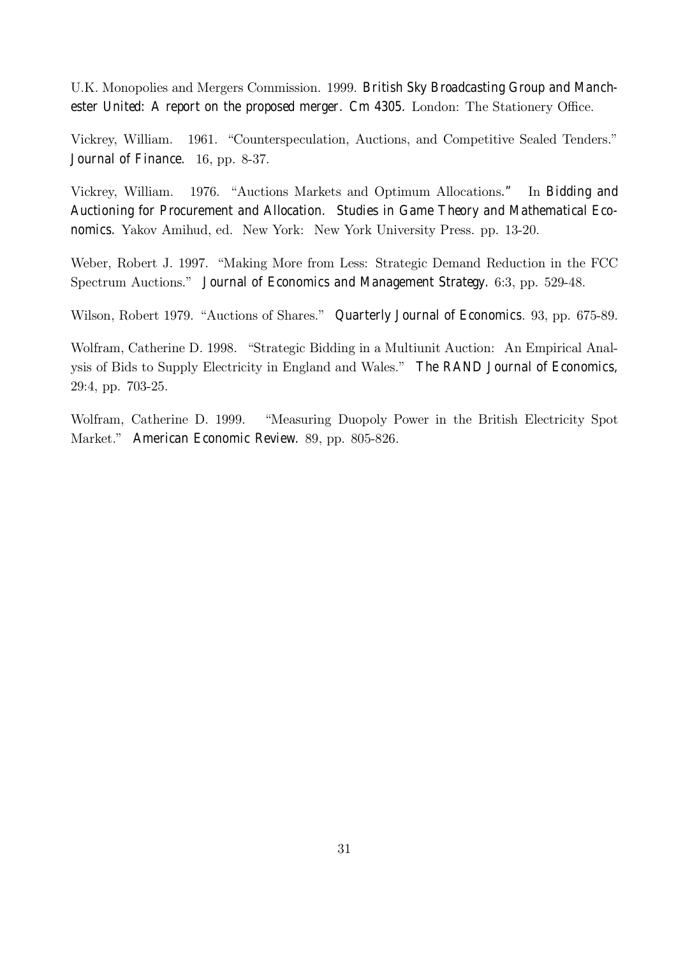U.K. Monopolies and Mergers Commission. 1999. British Sky Broadcasting Group and Manchester United: A report on the proposed merger. Cm 4305. London: The Stationery Office.

Vickrey, William. 1961. "Counterspeculation, Auctions, and Competitive Sealed Tenders." Journal of Finance. 16, pp. 8-37.

Vickrey, William. 1976. "Auctions Markets and Optimum Allocations." In Bidding and Auctioning for Procurement and Allocation. Studies in Game Theory and Mathematical Economics. Yakov Amihud, ed. New York: New York University Press. pp. 13-20.

Weber, Robert J. 1997. "Making More from Less: Strategic Demand Reduction in the FCC Spectrum Auctions." Journal of Economics and Management Strategy. 6:3, pp. 529-48.

Wilson, Robert 1979. "Auctions of Shares." Quarterly Journal of Economics. 93, pp. 675-89.

Wolfram, Catherine D. 1998. "Strategic Bidding in a Multiunit Auction: An Empirical Analysis of Bids to Supply Electricity in England and Wales." The RAND Journal of Economics, 29:4, pp. 703-25.

Wolfram, Catherine D. 1999. "Measuring Duopoly Power in the British Electricity Spot Market." American Economic Review. 89, pp. 805-826.